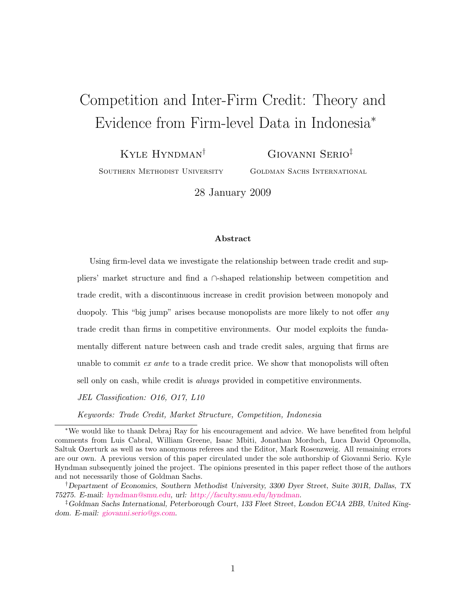# Competition and Inter-Firm Credit: Theory and Evidence from Firm-level Data in Indonesia<sup>∗</sup>

Kyle Hyndman†

Giovanni Serio‡

SOUTHERN METHODIST UNIVERSITY

GOLDMAN SACHS INTERNATIONAL

28 January 2009

#### Abstract

Using firm-level data we investigate the relationship between trade credit and suppliers' market structure and find a ∩-shaped relationship between competition and trade credit, with a discontinuous increase in credit provision between monopoly and duopoly. This "big jump" arises because monopolists are more likely to not offer *any* trade credit than firms in competitive environments. Our model exploits the fundamentally different nature between cash and trade credit sales, arguing that firms are unable to commit  $ex$  ante to a trade credit price. We show that monopolists will often sell only on cash, while credit is *always* provided in competitive environments.

JEL Classification: O16, O17, L10

Keywords: Trade Credit, Market Structure, Competition, Indonesia

<sup>∗</sup>We would like to thank Debraj Ray for his encouragement and advice. We have benefited from helpful comments from Luis Cabral, William Greene, Isaac Mbiti, Jonathan Morduch, Luca David Opromolla, Saltuk Ozerturk as well as two anonymous referees and the Editor, Mark Rosenzweig. All remaining errors are our own. A previous version of this paper circulated under the sole authorship of Giovanni Serio. Kyle Hyndman subsequently joined the project. The opinions presented in this paper reflect those of the authors and not necessarily those of Goldman Sachs.

<sup>†</sup>Department of Economics, Southern Methodist University, 3300 Dyer Street, Suite 301R, Dallas, TX 75275. E-mail: [hyndman@smu.edu,](mailto:hyndman@smu.edu) url: [http://faculty.smu.edu/hyndman.](http://faculty.smu.edu/hyndman)

<sup>‡</sup>Goldman Sachs International, Peterborough Court, 133 Fleet Street, London EC4A 2BB, United Kingdom. E-mail: [giovanni.serio@gs.com](mailto:giovanni.serio@gs.com).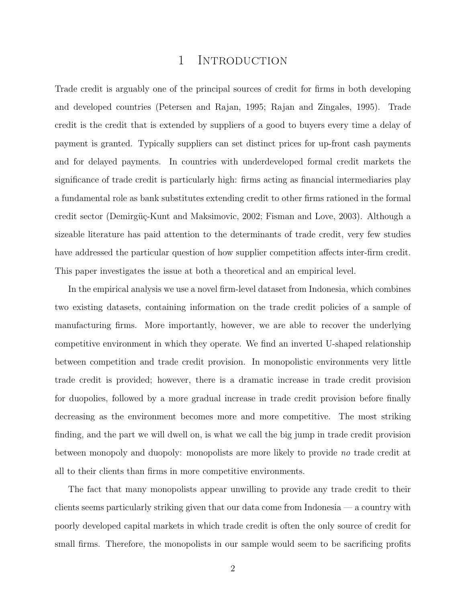### 1 Introduction

Trade credit is arguably one of the principal sources of credit for firms in both developing and developed countries (Petersen and Rajan, 1995; Rajan and Zingales, 1995). Trade credit is the credit that is extended by suppliers of a good to buyers every time a delay of payment is granted. Typically suppliers can set distinct prices for up-front cash payments and for delayed payments. In countries with underdeveloped formal credit markets the significance of trade credit is particularly high: firms acting as financial intermediaries play a fundamental role as bank substitutes extending credit to other firms rationed in the formal credit sector (Demirgüç-Kunt and Maksimovic, 2002; Fisman and Love, 2003). Although a sizeable literature has paid attention to the determinants of trade credit, very few studies have addressed the particular question of how supplier competition affects inter-firm credit. This paper investigates the issue at both a theoretical and an empirical level.

In the empirical analysis we use a novel firm-level dataset from Indonesia, which combines two existing datasets, containing information on the trade credit policies of a sample of manufacturing firms. More importantly, however, we are able to recover the underlying competitive environment in which they operate. We find an inverted U-shaped relationship between competition and trade credit provision. In monopolistic environments very little trade credit is provided; however, there is a dramatic increase in trade credit provision for duopolies, followed by a more gradual increase in trade credit provision before finally decreasing as the environment becomes more and more competitive. The most striking finding, and the part we will dwell on, is what we call the big jump in trade credit provision between monopoly and duopoly: monopolists are more likely to provide no trade credit at all to their clients than firms in more competitive environments.

The fact that many monopolists appear unwilling to provide any trade credit to their clients seems particularly striking given that our data come from Indonesia — a country with poorly developed capital markets in which trade credit is often the only source of credit for small firms. Therefore, the monopolists in our sample would seem to be sacrificing profits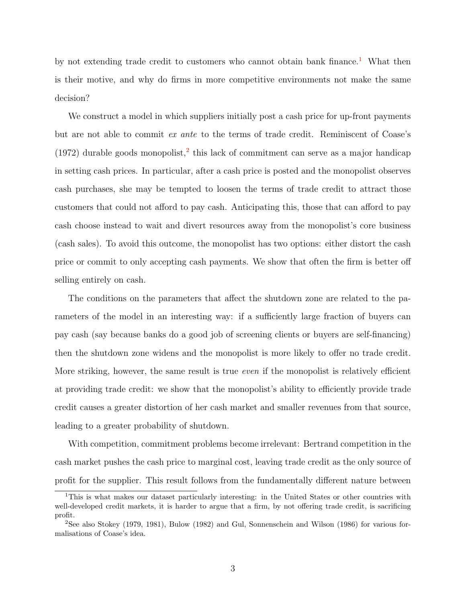by not extending trade credit to customers who cannot obtain bank finance.<sup>[1](#page-2-0)</sup> What then is their motive, and why do firms in more competitive environments not make the same decision?

We construct a model in which suppliers initially post a cash price for up-front payments but are not able to commit ex ante to the terms of trade credit. Reminiscent of Coase's  $(1972)$  $(1972)$  $(1972)$  durable goods monopolist,<sup>2</sup> this lack of commitment can serve as a major handicap in setting cash prices. In particular, after a cash price is posted and the monopolist observes cash purchases, she may be tempted to loosen the terms of trade credit to attract those customers that could not afford to pay cash. Anticipating this, those that can afford to pay cash choose instead to wait and divert resources away from the monopolist's core business (cash sales). To avoid this outcome, the monopolist has two options: either distort the cash price or commit to only accepting cash payments. We show that often the firm is better off selling entirely on cash.

The conditions on the parameters that affect the shutdown zone are related to the parameters of the model in an interesting way: if a sufficiently large fraction of buyers can pay cash (say because banks do a good job of screening clients or buyers are self-financing) then the shutdown zone widens and the monopolist is more likely to offer no trade credit. More striking, however, the same result is true even if the monopolist is relatively efficient at providing trade credit: we show that the monopolist's ability to efficiently provide trade credit causes a greater distortion of her cash market and smaller revenues from that source, leading to a greater probability of shutdown.

With competition, commitment problems become irrelevant: Bertrand competition in the cash market pushes the cash price to marginal cost, leaving trade credit as the only source of profit for the supplier. This result follows from the fundamentally different nature between

<span id="page-2-0"></span><sup>1</sup>This is what makes our dataset particularly interesting: in the United States or other countries with well-developed credit markets, it is harder to argue that a firm, by not offering trade credit, is sacrificing profit.

<span id="page-2-1"></span><sup>2</sup>See also Stokey (1979, 1981), Bulow (1982) and Gul, Sonnenschein and Wilson (1986) for various formalisations of Coase's idea.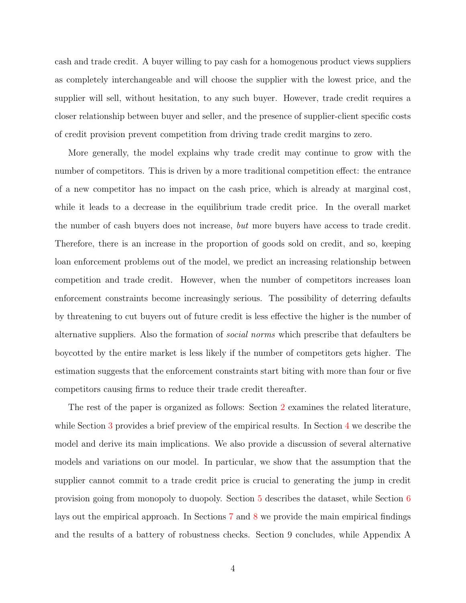cash and trade credit. A buyer willing to pay cash for a homogenous product views suppliers as completely interchangeable and will choose the supplier with the lowest price, and the supplier will sell, without hesitation, to any such buyer. However, trade credit requires a closer relationship between buyer and seller, and the presence of supplier-client specific costs of credit provision prevent competition from driving trade credit margins to zero.

More generally, the model explains why trade credit may continue to grow with the number of competitors. This is driven by a more traditional competition effect: the entrance of a new competitor has no impact on the cash price, which is already at marginal cost, while it leads to a decrease in the equilibrium trade credit price. In the overall market the number of cash buyers does not increase, but more buyers have access to trade credit. Therefore, there is an increase in the proportion of goods sold on credit, and so, keeping loan enforcement problems out of the model, we predict an increasing relationship between competition and trade credit. However, when the number of competitors increases loan enforcement constraints become increasingly serious. The possibility of deterring defaults by threatening to cut buyers out of future credit is less effective the higher is the number of alternative suppliers. Also the formation of social norms which prescribe that defaulters be boycotted by the entire market is less likely if the number of competitors gets higher. The estimation suggests that the enforcement constraints start biting with more than four or five competitors causing firms to reduce their trade credit thereafter.

The rest of the paper is organized as follows: Section [2](#page-4-0) examines the related literature, while Section [3](#page-6-0) provides a brief preview of the empirical results. In Section [4](#page-8-0) we describe the model and derive its main implications. We also provide a discussion of several alternative models and variations on our model. In particular, we show that the assumption that the supplier cannot commit to a trade credit price is crucial to generating the jump in credit provision going from monopoly to duopoly. Section [5](#page-21-0) describes the dataset, while Section [6](#page-24-0) lays out the empirical approach. In Sections [7](#page-29-0) and [8](#page-34-0) we provide the main empirical findings and the results of a battery of robustness checks. Section 9 concludes, while Appendix A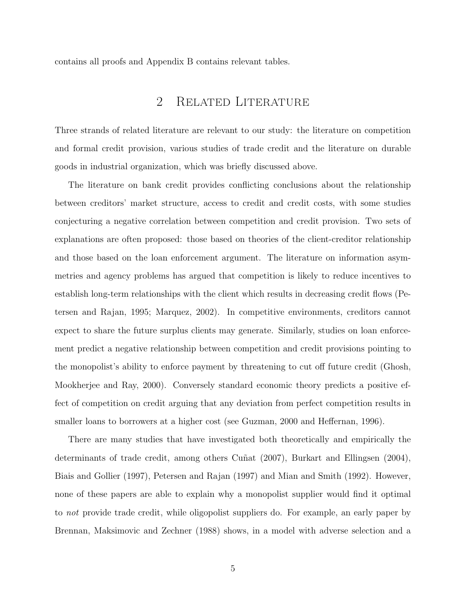<span id="page-4-0"></span>contains all proofs and Appendix B contains relevant tables.

# 2 Related Literature

Three strands of related literature are relevant to our study: the literature on competition and formal credit provision, various studies of trade credit and the literature on durable goods in industrial organization, which was briefly discussed above.

The literature on bank credit provides conflicting conclusions about the relationship between creditors' market structure, access to credit and credit costs, with some studies conjecturing a negative correlation between competition and credit provision. Two sets of explanations are often proposed: those based on theories of the client-creditor relationship and those based on the loan enforcement argument. The literature on information asymmetries and agency problems has argued that competition is likely to reduce incentives to establish long-term relationships with the client which results in decreasing credit flows (Petersen and Rajan, 1995; Marquez, 2002). In competitive environments, creditors cannot expect to share the future surplus clients may generate. Similarly, studies on loan enforcement predict a negative relationship between competition and credit provisions pointing to the monopolist's ability to enforce payment by threatening to cut off future credit (Ghosh, Mookherjee and Ray, 2000). Conversely standard economic theory predicts a positive effect of competition on credit arguing that any deviation from perfect competition results in smaller loans to borrowers at a higher cost (see Guzman, 2000 and Heffernan, 1996).

There are many studies that have investigated both theoretically and empirically the determinants of trade credit, among others Cuñat (2007), Burkart and Ellingsen (2004), Biais and Gollier (1997), Petersen and Rajan (1997) and Mian and Smith (1992). However, none of these papers are able to explain why a monopolist supplier would find it optimal to not provide trade credit, while oligopolist suppliers do. For example, an early paper by Brennan, Maksimovic and Zechner (1988) shows, in a model with adverse selection and a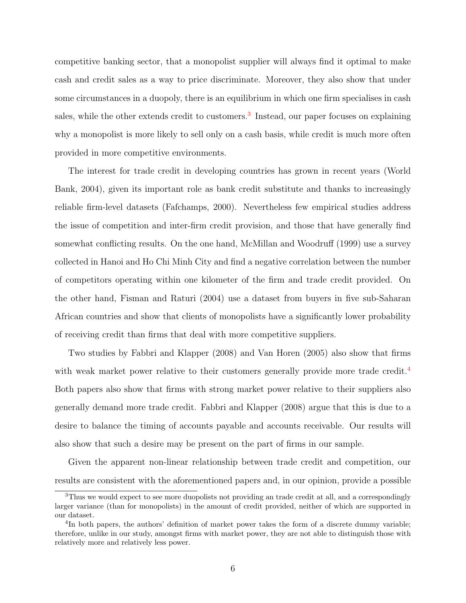competitive banking sector, that a monopolist supplier will always find it optimal to make cash and credit sales as a way to price discriminate. Moreover, they also show that under some circumstances in a duopoly, there is an equilibrium in which one firm specialises in cash sales, while the other extends credit to customers.<sup>[3](#page-5-0)</sup> Instead, our paper focuses on explaining why a monopolist is more likely to sell only on a cash basis, while credit is much more often provided in more competitive environments.

The interest for trade credit in developing countries has grown in recent years (World Bank, 2004), given its important role as bank credit substitute and thanks to increasingly reliable firm-level datasets (Fafchamps, 2000). Nevertheless few empirical studies address the issue of competition and inter-firm credit provision, and those that have generally find somewhat conflicting results. On the one hand, McMillan and Woodruff (1999) use a survey collected in Hanoi and Ho Chi Minh City and find a negative correlation between the number of competitors operating within one kilometer of the firm and trade credit provided. On the other hand, Fisman and Raturi (2004) use a dataset from buyers in five sub-Saharan African countries and show that clients of monopolists have a significantly lower probability of receiving credit than firms that deal with more competitive suppliers.

Two studies by Fabbri and Klapper (2008) and Van Horen (2005) also show that firms with weak market power relative to their customers generally provide more trade credit.<sup>[4](#page-5-1)</sup> Both papers also show that firms with strong market power relative to their suppliers also generally demand more trade credit. Fabbri and Klapper (2008) argue that this is due to a desire to balance the timing of accounts payable and accounts receivable. Our results will also show that such a desire may be present on the part of firms in our sample.

Given the apparent non-linear relationship between trade credit and competition, our results are consistent with the aforementioned papers and, in our opinion, provide a possible

<span id="page-5-0"></span><sup>&</sup>lt;sup>3</sup>Thus we would expect to see more duopolists not providing an trade credit at all, and a correspondingly larger variance (than for monopolists) in the amount of credit provided, neither of which are supported in our dataset.

<span id="page-5-1"></span><sup>&</sup>lt;sup>4</sup>In both papers, the authors' definition of market power takes the form of a discrete dummy variable; therefore, unlike in our study, amongst firms with market power, they are not able to distinguish those with relatively more and relatively less power.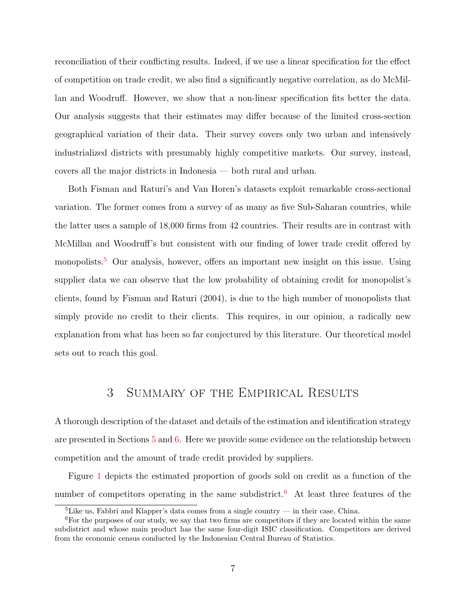reconciliation of their conflicting results. Indeed, if we use a linear specification for the effect of competition on trade credit, we also find a significantly negative correlation, as do McMillan and Woodruff. However, we show that a non-linear specification fits better the data. Our analysis suggests that their estimates may differ because of the limited cross-section geographical variation of their data. Their survey covers only two urban and intensively industrialized districts with presumably highly competitive markets. Our survey, instead, covers all the major districts in Indonesia — both rural and urban.

Both Fisman and Raturi's and Van Horen's datasets exploit remarkable cross-sectional variation. The former comes from a survey of as many as five Sub-Saharan countries, while the latter uses a sample of 18,000 firms from 42 countries. Their results are in contrast with McMillan and Woodruff's but consistent with our finding of lower trade credit offered by monopolists.<sup>[5](#page-6-1)</sup> Our analysis, however, offers an important new insight on this issue. Using supplier data we can observe that the low probability of obtaining credit for monopolist's clients, found by Fisman and Raturi (2004), is due to the high number of monopolists that simply provide no credit to their clients. This requires, in our opinion, a radically new explanation from what has been so far conjectured by this literature. Our theoretical model sets out to reach this goal.

### 3 Summary of the Empirical Results

<span id="page-6-0"></span>A thorough description of the dataset and details of the estimation and identification strategy are presented in Sections [5](#page-21-0) and [6.](#page-24-0) Here we provide some evidence on the relationship between competition and the amount of trade credit provided by suppliers.

Figure [1](#page-7-0) depicts the estimated proportion of goods sold on credit as a function of the number of competitors operating in the same subdistrict.<sup>[6](#page-6-2)</sup> At least three features of the

<span id="page-6-2"></span><span id="page-6-1"></span><sup>&</sup>lt;sup>5</sup>Like us, Fabbri and Klapper's data comes from a single country — in their case, China.

<sup>&</sup>lt;sup>6</sup>For the purposes of our study, we say that two firms are competitors if they are located within the same subdistrict and whose main product has the same four-digit ISIC classification. Competitors are derived from the economic census conducted by the Indonesian Central Bureau of Statistics.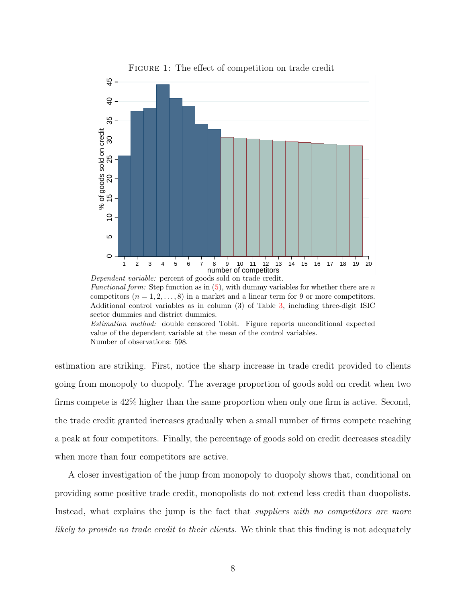

<span id="page-7-0"></span>FIGURE 1: The effect of competition on trade credit

estimation are striking. First, notice the sharp increase in trade credit provided to clients going from monopoly to duopoly. The average proportion of goods sold on credit when two firms compete is 42% higher than the same proportion when only one firm is active. Second, the trade credit granted increases gradually when a small number of firms compete reaching a peak at four competitors. Finally, the percentage of goods sold on credit decreases steadily when more than four competitors are active.

A closer investigation of the jump from monopoly to duopoly shows that, conditional on providing some positive trade credit, monopolists do not extend less credit than duopolists. Instead, what explains the jump is the fact that *suppliers with no competitors are more* likely to provide no trade credit to their clients. We think that this finding is not adequately

Dependent variable: percent of goods sold on trade credit. Functional form: Step function as in  $(5)$ , with dummy variables for whether there are n competitors  $(n = 1, 2, \ldots, 8)$  in a market and a linear term for 9 or more competitors. Additional control variables as in column (3) of Table [3,](#page-48-0) including three-digit ISIC sector dummies and district dummies.

Estimation method: double censored Tobit. Figure reports unconditional expected value of the dependent variable at the mean of the control variables. Number of observations: 598.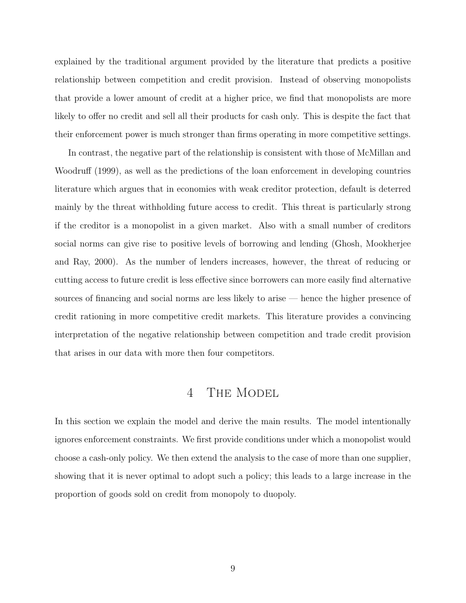explained by the traditional argument provided by the literature that predicts a positive relationship between competition and credit provision. Instead of observing monopolists that provide a lower amount of credit at a higher price, we find that monopolists are more likely to offer no credit and sell all their products for cash only. This is despite the fact that their enforcement power is much stronger than firms operating in more competitive settings.

In contrast, the negative part of the relationship is consistent with those of McMillan and Woodruff (1999), as well as the predictions of the loan enforcement in developing countries literature which argues that in economies with weak creditor protection, default is deterred mainly by the threat withholding future access to credit. This threat is particularly strong if the creditor is a monopolist in a given market. Also with a small number of creditors social norms can give rise to positive levels of borrowing and lending (Ghosh, Mookherjee and Ray, 2000). As the number of lenders increases, however, the threat of reducing or cutting access to future credit is less effective since borrowers can more easily find alternative sources of financing and social norms are less likely to arise — hence the higher presence of credit rationing in more competitive credit markets. This literature provides a convincing interpretation of the negative relationship between competition and trade credit provision that arises in our data with more then four competitors.

# 4 The Model

<span id="page-8-0"></span>In this section we explain the model and derive the main results. The model intentionally ignores enforcement constraints. We first provide conditions under which a monopolist would choose a cash-only policy. We then extend the analysis to the case of more than one supplier, showing that it is never optimal to adopt such a policy; this leads to a large increase in the proportion of goods sold on credit from monopoly to duopoly.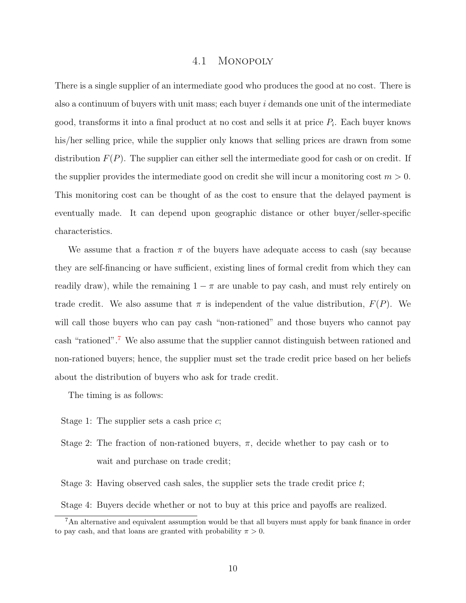#### 4.1 Monopoly

There is a single supplier of an intermediate good who produces the good at no cost. There is also a continuum of buyers with unit mass; each buyer  $i$  demands one unit of the intermediate good, transforms it into a final product at no cost and sells it at price  $P_i$ . Each buyer knows his/her selling price, while the supplier only knows that selling prices are drawn from some distribution  $F(P)$ . The supplier can either sell the intermediate good for cash or on credit. If the supplier provides the intermediate good on credit she will incur a monitoring cost  $m > 0$ . This monitoring cost can be thought of as the cost to ensure that the delayed payment is eventually made. It can depend upon geographic distance or other buyer/seller-specific characteristics.

We assume that a fraction  $\pi$  of the buyers have adequate access to cash (say because they are self-financing or have sufficient, existing lines of formal credit from which they can readily draw), while the remaining  $1 - \pi$  are unable to pay cash, and must rely entirely on trade credit. We also assume that  $\pi$  is independent of the value distribution,  $F(P)$ . We will call those buyers who can pay cash "non-rationed" and those buyers who cannot pay cash "rationed".[7](#page-9-0) We also assume that the supplier cannot distinguish between rationed and non-rationed buyers; hence, the supplier must set the trade credit price based on her beliefs about the distribution of buyers who ask for trade credit.

The timing is as follows:

Stage 1: The supplier sets a cash price  $c$ ;

- Stage 2: The fraction of non-rationed buyers,  $\pi$ , decide whether to pay cash or to wait and purchase on trade credit;
- Stage 3: Having observed cash sales, the supplier sets the trade credit price t;

Stage 4: Buyers decide whether or not to buy at this price and payoffs are realized.

<span id="page-9-0"></span><sup>7</sup>An alternative and equivalent assumption would be that all buyers must apply for bank finance in order to pay cash, and that loans are granted with probability  $\pi > 0$ .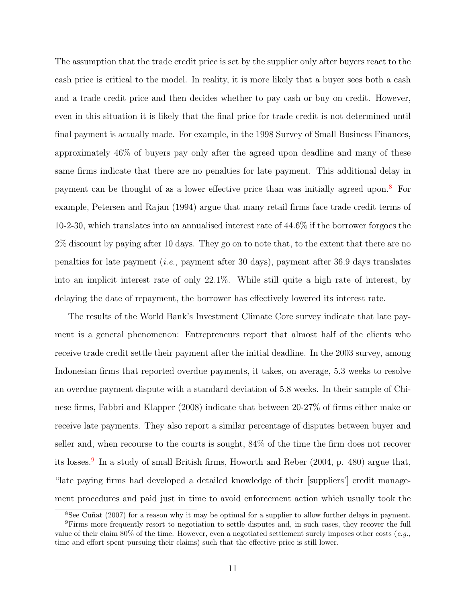The assumption that the trade credit price is set by the supplier only after buyers react to the cash price is critical to the model. In reality, it is more likely that a buyer sees both a cash and a trade credit price and then decides whether to pay cash or buy on credit. However, even in this situation it is likely that the final price for trade credit is not determined until final payment is actually made. For example, in the 1998 Survey of Small Business Finances, approximately 46% of buyers pay only after the agreed upon deadline and many of these same firms indicate that there are no penalties for late payment. This additional delay in payment can be thought of as a lower effective price than was initially agreed upon.[8](#page-10-0) For example, Petersen and Rajan (1994) argue that many retail firms face trade credit terms of 10-2-30, which translates into an annualised interest rate of 44.6% if the borrower forgoes the 2% discount by paying after 10 days. They go on to note that, to the extent that there are no penalties for late payment (i.e., payment after 30 days), payment after 36.9 days translates into an implicit interest rate of only 22.1%. While still quite a high rate of interest, by delaying the date of repayment, the borrower has effectively lowered its interest rate.

The results of the World Bank's Investment Climate Core survey indicate that late payment is a general phenomenon: Entrepreneurs report that almost half of the clients who receive trade credit settle their payment after the initial deadline. In the 2003 survey, among Indonesian firms that reported overdue payments, it takes, on average, 5.3 weeks to resolve an overdue payment dispute with a standard deviation of 5.8 weeks. In their sample of Chinese firms, Fabbri and Klapper (2008) indicate that between 20-27% of firms either make or receive late payments. They also report a similar percentage of disputes between buyer and seller and, when recourse to the courts is sought, 84% of the time the firm does not recover its losses.<sup>[9](#page-10-1)</sup> In a study of small British firms, Howorth and Reber (2004, p. 480) argue that, "late paying firms had developed a detailed knowledge of their [suppliers'] credit management procedures and paid just in time to avoid enforcement action which usually took the

<span id="page-10-1"></span><span id="page-10-0"></span><sup>&</sup>lt;sup>8</sup>See Cuñat (2007) for a reason why it may be optimal for a supplier to allow further delays in payment. <sup>9</sup>Firms more frequently resort to negotiation to settle disputes and, in such cases, they recover the full value of their claim 80% of the time. However, even a negotiated settlement surely imposes other costs (e.g., time and effort spent pursuing their claims) such that the effective price is still lower.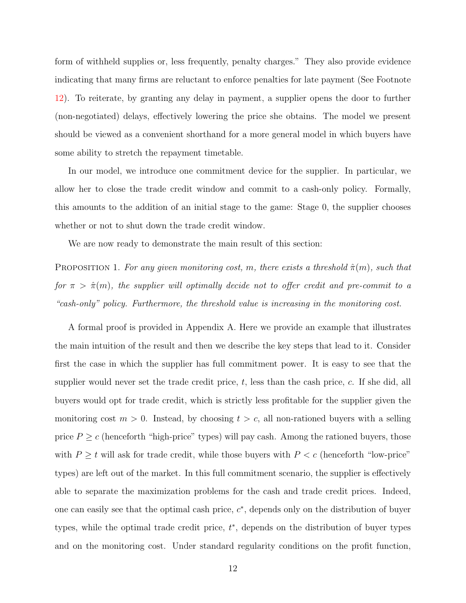form of withheld supplies or, less frequently, penalty charges." They also provide evidence indicating that many firms are reluctant to enforce penalties for late payment (See Footnote [12\)](#page-19-0). To reiterate, by granting any delay in payment, a supplier opens the door to further (non-negotiated) delays, effectively lowering the price she obtains. The model we present should be viewed as a convenient shorthand for a more general model in which buyers have some ability to stretch the repayment timetable.

In our model, we introduce one commitment device for the supplier. In particular, we allow her to close the trade credit window and commit to a cash-only policy. Formally, this amounts to the addition of an initial stage to the game: Stage 0, the supplier chooses whether or not to shut down the trade credit window.

<span id="page-11-0"></span>We are now ready to demonstrate the main result of this section:

PROPOSITION 1. For any given monitoring cost, m, there exists a threshold  $\hat{\pi}(m)$ , such that for  $\pi > \hat{\pi}(m)$ , the supplier will optimally decide not to offer credit and pre-commit to a "cash-only" policy. Furthermore, the threshold value is increasing in the monitoring cost.

A formal proof is provided in Appendix A. Here we provide an example that illustrates the main intuition of the result and then we describe the key steps that lead to it. Consider first the case in which the supplier has full commitment power. It is easy to see that the supplier would never set the trade credit price, t, less than the cash price, c. If she did, all buyers would opt for trade credit, which is strictly less profitable for the supplier given the monitoring cost  $m > 0$ . Instead, by choosing  $t > c$ , all non-rationed buyers with a selling price  $P \geq c$  (henceforth "high-price" types) will pay cash. Among the rationed buyers, those with  $P \geq t$  will ask for trade credit, while those buyers with  $P < c$  (henceforth "low-price" types) are left out of the market. In this full commitment scenario, the supplier is effectively able to separate the maximization problems for the cash and trade credit prices. Indeed, one can easily see that the optimal cash price,  $c^*$ , depends only on the distribution of buyer types, while the optimal trade credit price,  $t^*$ , depends on the distribution of buyer types and on the monitoring cost. Under standard regularity conditions on the profit function,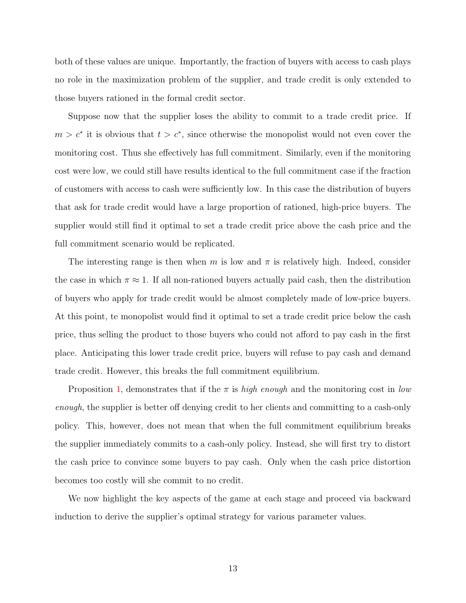both of these values are unique. Importantly, the fraction of buyers with access to cash plays no role in the maximization problem of the supplier, and trade credit is only extended to those buyers rationed in the formal credit sector.

Suppose now that the supplier loses the ability to commit to a trade credit price. If  $m > c^*$  it is obvious that  $t > c^*$ , since otherwise the monopolist would not even cover the monitoring cost. Thus she effectively has full commitment. Similarly, even if the monitoring cost were low, we could still have results identical to the full commitment case if the fraction of customers with access to cash were sufficiently low. In this case the distribution of buyers that ask for trade credit would have a large proportion of rationed, high-price buyers. The supplier would still find it optimal to set a trade credit price above the cash price and the full commitment scenario would be replicated.

The interesting range is then when m is low and  $\pi$  is relatively high. Indeed, consider the case in which  $\pi \approx 1$ . If all non-rationed buyers actually paid cash, then the distribution of buyers who apply for trade credit would be almost completely made of low-price buyers. At this point, te monopolist would find it optimal to set a trade credit price below the cash price, thus selling the product to those buyers who could not afford to pay cash in the first place. Anticipating this lower trade credit price, buyers will refuse to pay cash and demand trade credit. However, this breaks the full commitment equilibrium.

Proposition [1,](#page-11-0) demonstrates that if the  $\pi$  is high enough and the monitoring cost in low enough, the supplier is better off denying credit to her clients and committing to a cash-only policy. This, however, does not mean that when the full commitment equilibrium breaks the supplier immediately commits to a cash-only policy. Instead, she will first try to distort the cash price to convince some buyers to pay cash. Only when the cash price distortion becomes too costly will she commit to no credit.

We now highlight the key aspects of the game at each stage and proceed via backward induction to derive the supplier's optimal strategy for various parameter values.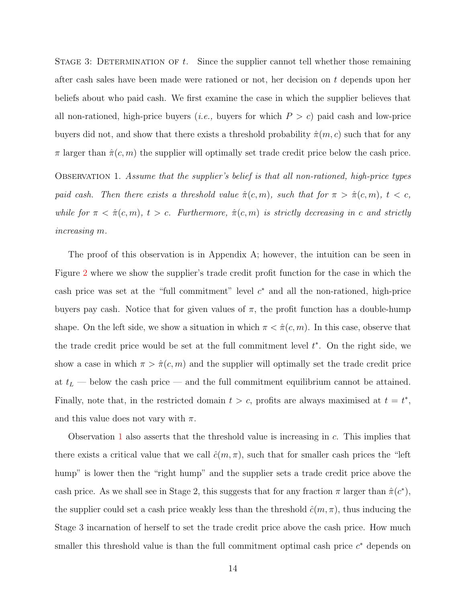STAGE 3: DETERMINATION OF t. Since the supplier cannot tell whether those remaining after cash sales have been made were rationed or not, her decision on t depends upon her beliefs about who paid cash. We first examine the case in which the supplier believes that all non-rationed, high-price buyers (*i.e.*, buyers for which  $P > c$ ) paid cash and low-price buyers did not, and show that there exists a threshold probability  $\hat{\pi}(m, c)$  such that for any  $\pi$  larger than  $\hat{\pi}(c, m)$  the supplier will optimally set trade credit price below the cash price.

<span id="page-13-0"></span>Observation 1. Assume that the supplier's belief is that all non-rationed, high-price types paid cash. Then there exists a threshold value  $\hat{\pi}(c,m)$ , such that for  $\pi > \hat{\pi}(c,m)$ ,  $t < c$ , while for  $\pi < \hat{\pi}(c, m)$ ,  $t > c$ . Furthermore,  $\hat{\pi}(c, m)$  is strictly decreasing in c and strictly increasing m.

The proof of this observation is in Appendix A; however, the intuition can be seen in Figure [2](#page-14-0) where we show the supplier's trade credit profit function for the case in which the cash price was set at the "full commitment" level  $c^*$  and all the non-rationed, high-price buyers pay cash. Notice that for given values of  $\pi$ , the profit function has a double-hump shape. On the left side, we show a situation in which  $\pi < \hat{\pi}(c, m)$ . In this case, observe that the trade credit price would be set at the full commitment level  $t^*$ . On the right side, we show a case in which  $\pi > \hat{\pi}(c, m)$  and the supplier will optimally set the trade credit price at  $t_L$  — below the cash price — and the full commitment equilibrium cannot be attained. Finally, note that, in the restricted domain  $t > c$ , profits are always maximised at  $t = t^*$ , and this value does not vary with  $\pi$ .

Observation [1](#page-13-0) also asserts that the threshold value is increasing in c. This implies that there exists a critical value that we call  $\hat{c}(m, \pi)$ , such that for smaller cash prices the "left" hump" is lower then the "right hump" and the supplier sets a trade credit price above the cash price. As we shall see in Stage 2, this suggests that for any fraction  $\pi$  larger than  $\hat{\pi}(c^*)$ , the supplier could set a cash price weakly less than the threshold  $\hat{c}(m,\pi)$ , thus inducing the Stage 3 incarnation of herself to set the trade credit price above the cash price. How much smaller this threshold value is than the full commitment optimal cash price  $c^*$  depends on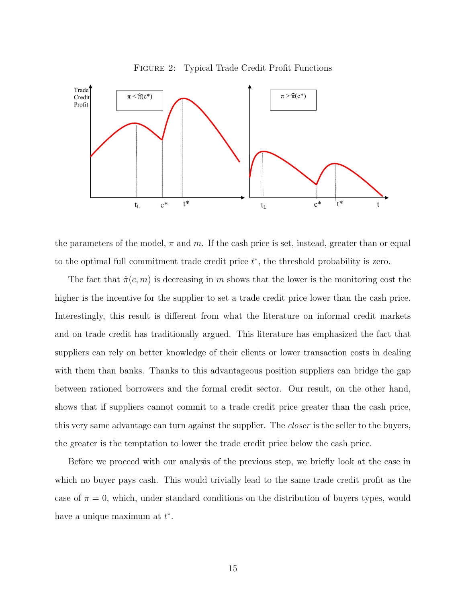<span id="page-14-0"></span>



the parameters of the model,  $\pi$  and  $m$ . If the cash price is set, instead, greater than or equal to the optimal full commitment trade credit price  $t^*$ , the threshold probability is zero.

The fact that  $\hat{\pi}(c, m)$  is decreasing in m shows that the lower is the monitoring cost the higher is the incentive for the supplier to set a trade credit price lower than the cash price. Interestingly, this result is different from what the literature on informal credit markets and on trade credit has traditionally argued. This literature has emphasized the fact that suppliers can rely on better knowledge of their clients or lower transaction costs in dealing with them than banks. Thanks to this advantageous position suppliers can bridge the gap between rationed borrowers and the formal credit sector. Our result, on the other hand, shows that if suppliers cannot commit to a trade credit price greater than the cash price, this very same advantage can turn against the supplier. The *closer* is the seller to the buyers, the greater is the temptation to lower the trade credit price below the cash price.

Before we proceed with our analysis of the previous step, we briefly look at the case in which no buyer pays cash. This would trivially lead to the same trade credit profit as the case of  $\pi = 0$ , which, under standard conditions on the distribution of buyers types, would have a unique maximum at  $t^*$ .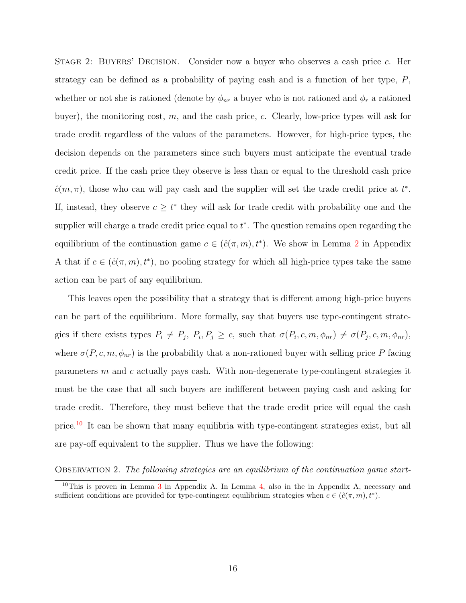Stage 2: Buyers' Decision. Consider now a buyer who observes a cash price c. Her strategy can be defined as a probability of paying cash and is a function of her type, P, whether or not she is rationed (denote by  $\phi_{nr}$  a buyer who is not rationed and  $\phi_r$  a rationed buyer), the monitoring cost, m, and the cash price, c. Clearly, low-price types will ask for trade credit regardless of the values of the parameters. However, for high-price types, the decision depends on the parameters since such buyers must anticipate the eventual trade credit price. If the cash price they observe is less than or equal to the threshold cash price  $\hat{c}(m,\pi)$ , those who can will pay cash and the supplier will set the trade credit price at  $t^*$ . If, instead, they observe  $c \geq t^*$  they will ask for trade credit with probability one and the supplier will charge a trade credit price equal to  $t^*$ . The question remains open regarding the equilibrium of the continuation game  $c \in (\hat{c}(\pi, m), t^*)$ . We show in Lemma [2](#page-42-0) in Appendix A that if  $c \in (\hat{c}(\pi, m), t^*)$ , no pooling strategy for which all high-price types take the same action can be part of any equilibrium.

This leaves open the possibility that a strategy that is different among high-price buyers can be part of the equilibrium. More formally, say that buyers use type-contingent strategies if there exists types  $P_i \neq P_j$ ,  $P_i, P_j \geq c$ , such that  $\sigma(P_i, c, m, \phi_{nr}) \neq \sigma(P_j, c, m, \phi_{nr}),$ where  $\sigma(P, c, m, \phi_{nr})$  is the probability that a non-rationed buyer with selling price P facing parameters  $m$  and c actually pays cash. With non-degenerate type-contingent strategies it must be the case that all such buyers are indifferent between paying cash and asking for trade credit. Therefore, they must believe that the trade credit price will equal the cash price.[10](#page-15-0) It can be shown that many equilibria with type-contingent strategies exist, but all are pay-off equivalent to the supplier. Thus we have the following:

Observation 2. The following strategies are an equilibrium of the continuation game start-

<span id="page-15-0"></span> $10$ This is proven in Lemma [3](#page-42-1) in Appendix A. In Lemma [4,](#page-43-0) also in the in Appendix A, necessary and sufficient conditions are provided for type-contingent equilibrium strategies when  $c \in (\hat{c}(\pi, m), t^*)$ .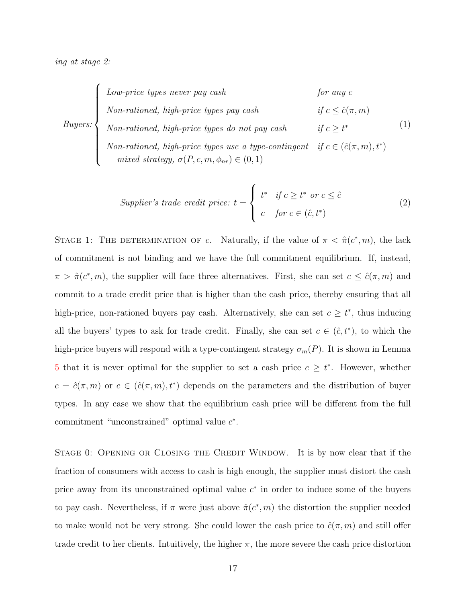ing at stage 2:

<span id="page-16-0"></span>Buyers:  $\sqrt{ }$  $\begin{array}{c} \hline \end{array}$  $\begin{array}{|c|c|} \hline \rule{0pt}{12pt} \rule{0pt}{2pt} \rule{0pt}{2pt} \rule{0pt}{2pt} \rule{0pt}{2pt} \rule{0pt}{2pt} \rule{0pt}{2pt} \rule{0pt}{2pt} \rule{0pt}{2pt} \rule{0pt}{2pt} \rule{0pt}{2pt} \rule{0pt}{2pt} \rule{0pt}{2pt} \rule{0pt}{2pt} \rule{0pt}{2pt} \rule{0pt}{2pt} \rule{0pt}{2pt} \rule{0pt}{2pt} \rule{0pt}{2pt} \rule{0pt}{2pt} \rule{0pt}{2pt} \rule{0pt}{2pt} \rule{0pt}{2$ Low-price types never pay cash for any c Non-rationed, high-price types pay cash if  $c \leq \hat{c}(\pi, m)$ Non-rationed, high-price types do not pay cash if  $c \geq t^*$ Non-rationed, high-price types use a type-contingent if  $c \in (\hat{c}(\pi, m), t^*)$ mixed strategy,  $\sigma(P, c, m, \phi_{nr}) \in (0, 1)$ (1)

<span id="page-16-1"></span>Supplier's trade credit price: \n
$$
t = \n\begin{cases} \nt^* & \text{if } c \geq t^* \text{ or } c \leq \hat{c} \\ \nc & \text{for } c \in (\hat{c}, t^*) \n\end{cases}\n\tag{2}
$$
\n

STAGE 1: THE DETERMINATION OF c. Naturally, if the value of  $\pi < \hat{\pi}(c^*, m)$ , the lack of commitment is not binding and we have the full commitment equilibrium. If, instead,  $\pi > \hat{\pi}(c^*, m)$ , the supplier will face three alternatives. First, she can set  $c \leq \hat{c}(\pi, m)$  and commit to a trade credit price that is higher than the cash price, thereby ensuring that all high-price, non-rationed buyers pay cash. Alternatively, she can set  $c \geq t^*$ , thus inducing all the buyers' types to ask for trade credit. Finally, she can set  $c \in (\hat{c}, t^*)$ , to which the high-price buyers will respond with a type-contingent strategy  $\sigma_m(P)$ . It is shown in Lemma [5](#page-43-1) that it is never optimal for the supplier to set a cash price  $c \geq t^*$ . However, whether  $c = \hat{c}(\pi, m)$  or  $c \in (\hat{c}(\pi, m), t^*)$  depends on the parameters and the distribution of buyer types. In any case we show that the equilibrium cash price will be different from the full commitment "unconstrained" optimal value  $c^*$ .

STAGE 0: OPENING OR CLOSING THE CREDIT WINDOW. It is by now clear that if the fraction of consumers with access to cash is high enough, the supplier must distort the cash price away from its unconstrained optimal value  $c^*$  in order to induce some of the buyers to pay cash. Nevertheless, if  $\pi$  were just above  $\hat{\pi}(c^*, m)$  the distortion the supplier needed to make would not be very strong. She could lower the cash price to  $\hat{c}(\pi, m)$  and still offer trade credit to her clients. Intuitively, the higher  $\pi$ , the more severe the cash price distortion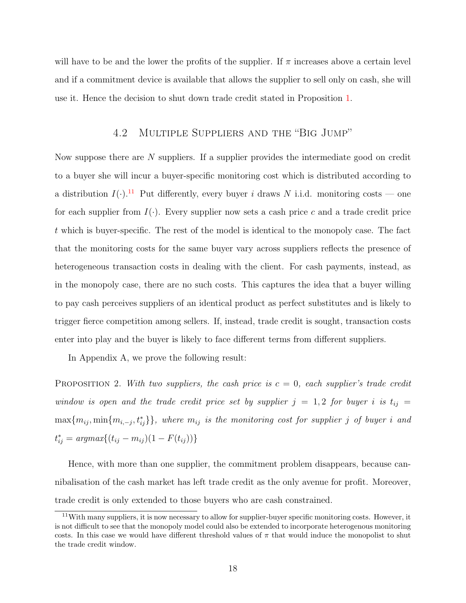will have to be and the lower the profits of the supplier. If  $\pi$  increases above a certain level and if a commitment device is available that allows the supplier to sell only on cash, she will use it. Hence the decision to shut down trade credit stated in Proposition [1.](#page-11-0)

### 4.2 Multiple Suppliers and the "Big Jump"

Now suppose there are N suppliers. If a supplier provides the intermediate good on credit to a buyer she will incur a buyer-specific monitoring cost which is distributed according to a distribution  $I(\cdot)$ .<sup>[11](#page-17-0)</sup> Put differently, every buyer i draws N i.i.d. monitoring costs — one for each supplier from  $I(\cdot)$ . Every supplier now sets a cash price c and a trade credit price t which is buyer-specific. The rest of the model is identical to the monopoly case. The fact that the monitoring costs for the same buyer vary across suppliers reflects the presence of heterogeneous transaction costs in dealing with the client. For cash payments, instead, as in the monopoly case, there are no such costs. This captures the idea that a buyer willing to pay cash perceives suppliers of an identical product as perfect substitutes and is likely to trigger fierce competition among sellers. If, instead, trade credit is sought, transaction costs enter into play and the buyer is likely to face different terms from different suppliers.

<span id="page-17-1"></span>In Appendix A, we prove the following result:

PROPOSITION 2. With two suppliers, the cash price is  $c = 0$ , each supplier's trade credit window is open and the trade credit price set by supplier  $j = 1, 2$  for buyer i is  $t_{ij} =$  $\max\{m_{ij}, \min\{m_{i,-j}, t_{ij}^*\}\},$  where  $m_{ij}$  is the monitoring cost for supplier j of buyer i and  $t_{ij}^* = argmax\{(t_{ij} - m_{ij})(1 - F(t_{ij}))\}$ 

Hence, with more than one supplier, the commitment problem disappears, because cannibalisation of the cash market has left trade credit as the only avenue for profit. Moreover, trade credit is only extended to those buyers who are cash constrained.

<span id="page-17-0"></span><sup>&</sup>lt;sup>11</sup>With many suppliers, it is now necessary to allow for supplier-buyer specific monitoring costs. However, it is not difficult to see that the monopoly model could also be extended to incorporate heterogenous monitoring costs. In this case we would have different threshold values of  $\pi$  that would induce the monopolist to shut the trade credit window.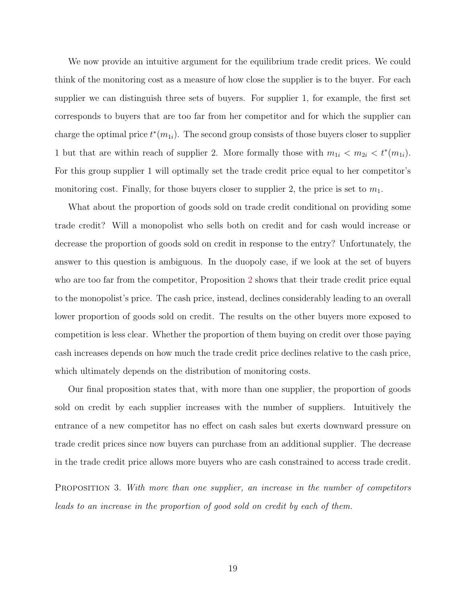We now provide an intuitive argument for the equilibrium trade credit prices. We could think of the monitoring cost as a measure of how close the supplier is to the buyer. For each supplier we can distinguish three sets of buyers. For supplier 1, for example, the first set corresponds to buyers that are too far from her competitor and for which the supplier can charge the optimal price  $t^*(m_{1i})$ . The second group consists of those buyers closer to supplier 1 but that are within reach of supplier 2. More formally those with  $m_{1i} < m_{2i} < t^*(m_{1i}).$ For this group supplier 1 will optimally set the trade credit price equal to her competitor's monitoring cost. Finally, for those buyers closer to supplier 2, the price is set to  $m_1$ .

What about the proportion of goods sold on trade credit conditional on providing some trade credit? Will a monopolist who sells both on credit and for cash would increase or decrease the proportion of goods sold on credit in response to the entry? Unfortunately, the answer to this question is ambiguous. In the duopoly case, if we look at the set of buyers who are too far from the competitor, Proposition [2](#page-17-1) shows that their trade credit price equal to the monopolist's price. The cash price, instead, declines considerably leading to an overall lower proportion of goods sold on credit. The results on the other buyers more exposed to competition is less clear. Whether the proportion of them buying on credit over those paying cash increases depends on how much the trade credit price declines relative to the cash price, which ultimately depends on the distribution of monitoring costs.

Our final proposition states that, with more than one supplier, the proportion of goods sold on credit by each supplier increases with the number of suppliers. Intuitively the entrance of a new competitor has no effect on cash sales but exerts downward pressure on trade credit prices since now buyers can purchase from an additional supplier. The decrease in the trade credit price allows more buyers who are cash constrained to access trade credit.

PROPOSITION 3. With more than one supplier, an increase in the number of competitors leads to an increase in the proportion of good sold on credit by each of them.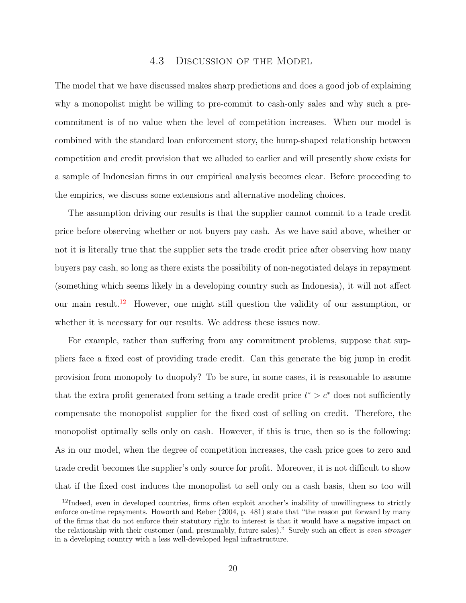### 4.3 Discussion of the Model

The model that we have discussed makes sharp predictions and does a good job of explaining why a monopolist might be willing to pre-commit to cash-only sales and why such a precommitment is of no value when the level of competition increases. When our model is combined with the standard loan enforcement story, the hump-shaped relationship between competition and credit provision that we alluded to earlier and will presently show exists for a sample of Indonesian firms in our empirical analysis becomes clear. Before proceeding to the empirics, we discuss some extensions and alternative modeling choices.

The assumption driving our results is that the supplier cannot commit to a trade credit price before observing whether or not buyers pay cash. As we have said above, whether or not it is literally true that the supplier sets the trade credit price after observing how many buyers pay cash, so long as there exists the possibility of non-negotiated delays in repayment (something which seems likely in a developing country such as Indonesia), it will not affect our main result.[12](#page-19-0) However, one might still question the validity of our assumption, or whether it is necessary for our results. We address these issues now.

For example, rather than suffering from any commitment problems, suppose that suppliers face a fixed cost of providing trade credit. Can this generate the big jump in credit provision from monopoly to duopoly? To be sure, in some cases, it is reasonable to assume that the extra profit generated from setting a trade credit price  $t^* > c^*$  does not sufficiently compensate the monopolist supplier for the fixed cost of selling on credit. Therefore, the monopolist optimally sells only on cash. However, if this is true, then so is the following: As in our model, when the degree of competition increases, the cash price goes to zero and trade credit becomes the supplier's only source for profit. Moreover, it is not difficult to show that if the fixed cost induces the monopolist to sell only on a cash basis, then so too will

<span id="page-19-0"></span><sup>&</sup>lt;sup>12</sup>Indeed, even in developed countries, firms often exploit another's inability of unwillingness to strictly enforce on-time repayments. Howorth and Reber (2004, p. 481) state that "the reason put forward by many of the firms that do not enforce their statutory right to interest is that it would have a negative impact on the relationship with their customer (and, presumably, future sales)." Surely such an effect is even stronger in a developing country with a less well-developed legal infrastructure.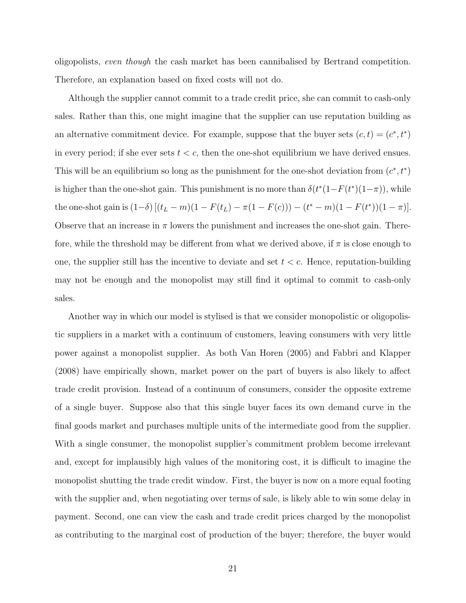oligopolists, even though the cash market has been cannibalised by Bertrand competition. Therefore, an explanation based on fixed costs will not do.

Although the supplier cannot commit to a trade credit price, she can commit to cash-only sales. Rather than this, one might imagine that the supplier can use reputation building as an alternative commitment device. For example, suppose that the buyer sets  $(c, t) = (c^*, t^*)$ in every period; if she ever sets  $t < c$ , then the one-shot equilibrium we have derived ensues. This will be an equilibrium so long as the punishment for the one-shot deviation from  $(c^*, t^*)$ is higher than the one-shot gain. This punishment is no more than  $\delta(t^*(1-F(t^*)(1-\pi))$ , while the one-shot gain is  $(1-\delta) [(t_L - m)(1 - F(t_L) - \pi(1 - F(c))) - (t^* - m)(1 - F(t^*)) (1 - \pi)].$ Observe that an increase in  $\pi$  lowers the punishment and increases the one-shot gain. Therefore, while the threshold may be different from what we derived above, if  $\pi$  is close enough to one, the supplier still has the incentive to deviate and set  $t < c$ . Hence, reputation-building may not be enough and the monopolist may still find it optimal to commit to cash-only sales.

Another way in which our model is stylised is that we consider monopolistic or oligopolistic suppliers in a market with a continuum of customers, leaving consumers with very little power against a monopolist supplier. As both Van Horen (2005) and Fabbri and Klapper (2008) have empirically shown, market power on the part of buyers is also likely to affect trade credit provision. Instead of a continuum of consumers, consider the opposite extreme of a single buyer. Suppose also that this single buyer faces its own demand curve in the final goods market and purchases multiple units of the intermediate good from the supplier. With a single consumer, the monopolist supplier's commitment problem become irrelevant and, except for implausibly high values of the monitoring cost, it is difficult to imagine the monopolist shutting the trade credit window. First, the buyer is now on a more equal footing with the supplier and, when negotiating over terms of sale, is likely able to win some delay in payment. Second, one can view the cash and trade credit prices charged by the monopolist as contributing to the marginal cost of production of the buyer; therefore, the buyer would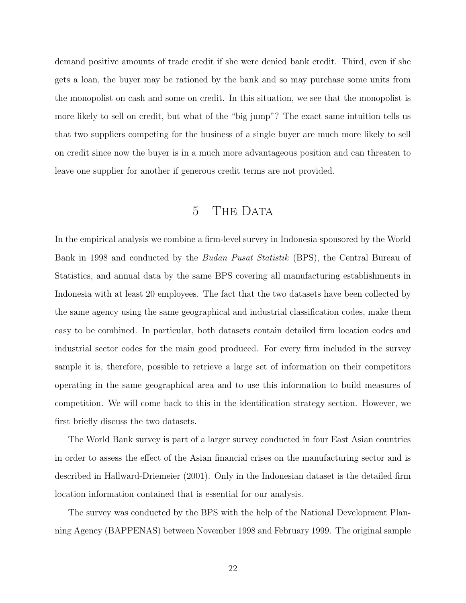demand positive amounts of trade credit if she were denied bank credit. Third, even if she gets a loan, the buyer may be rationed by the bank and so may purchase some units from the monopolist on cash and some on credit. In this situation, we see that the monopolist is more likely to sell on credit, but what of the "big jump"? The exact same intuition tells us that two suppliers competing for the business of a single buyer are much more likely to sell on credit since now the buyer is in a much more advantageous position and can threaten to leave one supplier for another if generous credit terms are not provided.

# 5 THE DATA

<span id="page-21-0"></span>In the empirical analysis we combine a firm-level survey in Indonesia sponsored by the World Bank in 1998 and conducted by the Budan Pusat Statistik (BPS), the Central Bureau of Statistics, and annual data by the same BPS covering all manufacturing establishments in Indonesia with at least 20 employees. The fact that the two datasets have been collected by the same agency using the same geographical and industrial classification codes, make them easy to be combined. In particular, both datasets contain detailed firm location codes and industrial sector codes for the main good produced. For every firm included in the survey sample it is, therefore, possible to retrieve a large set of information on their competitors operating in the same geographical area and to use this information to build measures of competition. We will come back to this in the identification strategy section. However, we first briefly discuss the two datasets.

The World Bank survey is part of a larger survey conducted in four East Asian countries in order to assess the effect of the Asian financial crises on the manufacturing sector and is described in Hallward-Driemeier (2001). Only in the Indonesian dataset is the detailed firm location information contained that is essential for our analysis.

The survey was conducted by the BPS with the help of the National Development Planning Agency (BAPPENAS) between November 1998 and February 1999. The original sample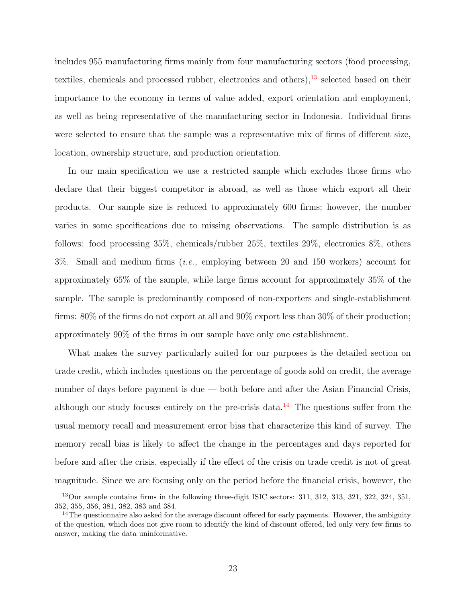includes 955 manufacturing firms mainly from four manufacturing sectors (food processing, textiles, chemicals and processed rubber, electronics and others), $^{13}$  $^{13}$  $^{13}$  selected based on their importance to the economy in terms of value added, export orientation and employment, as well as being representative of the manufacturing sector in Indonesia. Individual firms were selected to ensure that the sample was a representative mix of firms of different size, location, ownership structure, and production orientation.

In our main specification we use a restricted sample which excludes those firms who declare that their biggest competitor is abroad, as well as those which export all their products. Our sample size is reduced to approximately 600 firms; however, the number varies in some specifications due to missing observations. The sample distribution is as follows: food processing 35%, chemicals/rubber 25%, textiles 29%, electronics 8%, others 3%. Small and medium firms (i.e., employing between 20 and 150 workers) account for approximately 65% of the sample, while large firms account for approximately 35% of the sample. The sample is predominantly composed of non-exporters and single-establishment firms: 80% of the firms do not export at all and 90% export less than 30% of their production; approximately 90% of the firms in our sample have only one establishment.

What makes the survey particularly suited for our purposes is the detailed section on trade credit, which includes questions on the percentage of goods sold on credit, the average number of days before payment is due — both before and after the Asian Financial Crisis, although our study focuses entirely on the pre-crisis data.<sup>[14](#page-22-1)</sup> The questions suffer from the usual memory recall and measurement error bias that characterize this kind of survey. The memory recall bias is likely to affect the change in the percentages and days reported for before and after the crisis, especially if the effect of the crisis on trade credit is not of great magnitude. Since we are focusing only on the period before the financial crisis, however, the

<span id="page-22-0"></span><sup>13</sup>Our sample contains firms in the following three-digit ISIC sectors: 311, 312, 313, 321, 322, 324, 351, 352, 355, 356, 381, 382, 383 and 384.

<span id="page-22-1"></span><sup>&</sup>lt;sup>14</sup>The questionnaire also asked for the average discount offered for early payments. However, the ambiguity of the question, which does not give room to identify the kind of discount offered, led only very few firms to answer, making the data uninformative.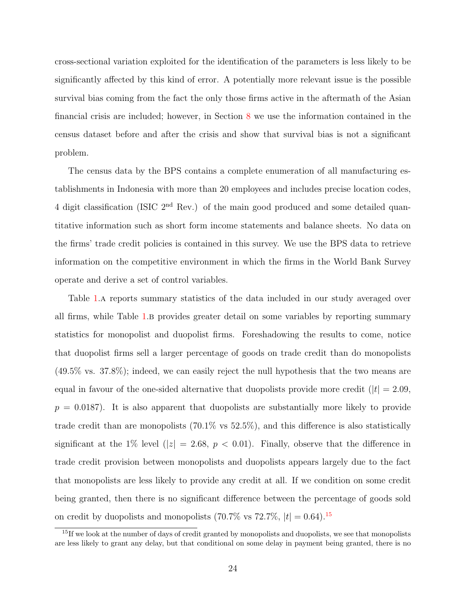cross-sectional variation exploited for the identification of the parameters is less likely to be significantly affected by this kind of error. A potentially more relevant issue is the possible survival bias coming from the fact the only those firms active in the aftermath of the Asian financial crisis are included; however, in Section [8](#page-34-0) we use the information contained in the census dataset before and after the crisis and show that survival bias is not a significant problem.

The census data by the BPS contains a complete enumeration of all manufacturing establishments in Indonesia with more than 20 employees and includes precise location codes, 4 digit classification (ISIC 2nd Rev.) of the main good produced and some detailed quantitative information such as short form income statements and balance sheets. No data on the firms' trade credit policies is contained in this survey. We use the BPS data to retrieve information on the competitive environment in which the firms in the World Bank Survey operate and derive a set of control variables.

Table [1.](#page-46-0)a reports summary statistics of the data included in our study averaged over all firms, while Table [1.](#page-46-0)b provides greater detail on some variables by reporting summary statistics for monopolist and duopolist firms. Foreshadowing the results to come, notice that duopolist firms sell a larger percentage of goods on trade credit than do monopolists (49.5% vs. 37.8%); indeed, we can easily reject the null hypothesis that the two means are equal in favour of the one-sided alternative that duopolists provide more credit ( $|t| = 2.09$ ,  $p = 0.0187$ . It is also apparent that duopolists are substantially more likely to provide trade credit than are monopolists  $(70.1\% \text{ vs } 52.5\%)$ , and this difference is also statistically significant at the 1% level ( $|z| = 2.68$ ,  $p < 0.01$ ). Finally, observe that the difference in trade credit provision between monopolists and duopolists appears largely due to the fact that monopolists are less likely to provide any credit at all. If we condition on some credit being granted, then there is no significant difference between the percentage of goods sold on credit by duopolists and monopolists (70.7% vs 72.7%,  $|t| = 0.64$ ).<sup>[15](#page-23-0)</sup>

<span id="page-23-0"></span><sup>&</sup>lt;sup>15</sup>If we look at the number of days of credit granted by monopolists and duopolists, we see that monopolists are less likely to grant any delay, but that conditional on some delay in payment being granted, there is no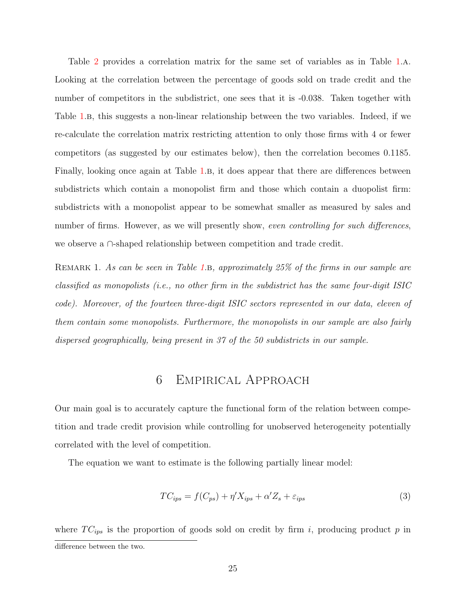Table [2](#page-47-0) provides a correlation matrix for the same set of variables as in Table [1.](#page-46-0)a. Looking at the correlation between the percentage of goods sold on trade credit and the number of competitors in the subdistrict, one sees that it is -0.038. Taken together with Table [1.](#page-46-0)b, this suggests a non-linear relationship between the two variables. Indeed, if we re-calculate the correlation matrix restricting attention to only those firms with 4 or fewer competitors (as suggested by our estimates below), then the correlation becomes 0.1185. Finally, looking once again at Table [1.](#page-46-0)B, it does appear that there are differences between subdistricts which contain a monopolist firm and those which contain a duopolist firm: subdistricts with a monopolist appear to be somewhat smaller as measured by sales and number of firms. However, as we will presently show, even controlling for such differences, we observe a ∩-shaped relationship between competition and trade credit.

REMARK [1.](#page-46-0) As can be seen in Table 1.B, approximately 25% of the firms in our sample are classified as monopolists (i.e., no other firm in the subdistrict has the same four-digit ISIC code). Moreover, of the fourteen three-digit ISIC sectors represented in our data, eleven of them contain some monopolists. Furthermore, the monopolists in our sample are also fairly dispersed geographically, being present in 37 of the 50 subdistricts in our sample.

# 6 Empirical Approach

<span id="page-24-0"></span>Our main goal is to accurately capture the functional form of the relation between competition and trade credit provision while controlling for unobserved heterogeneity potentially correlated with the level of competition.

The equation we want to estimate is the following partially linear model:

<span id="page-24-1"></span>
$$
TC_{ips} = f(C_{ps}) + \eta' X_{ips} + \alpha' Z_s + \varepsilon_{ips}
$$
\n
$$
\tag{3}
$$

where  $TC_{ips}$  is the proportion of goods sold on credit by firm i, producing product p in difference between the two.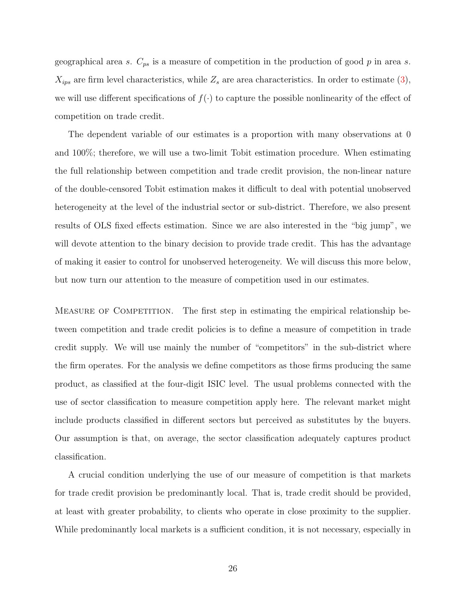geographical area s.  $C_{ps}$  is a measure of competition in the production of good p in area s.  $X_{ips}$  are firm level characteristics, while  $Z_s$  are area characteristics. In order to estimate [\(3\)](#page-24-1), we will use different specifications of  $f(\cdot)$  to capture the possible nonlinearity of the effect of competition on trade credit.

The dependent variable of our estimates is a proportion with many observations at 0 and 100%; therefore, we will use a two-limit Tobit estimation procedure. When estimating the full relationship between competition and trade credit provision, the non-linear nature of the double-censored Tobit estimation makes it difficult to deal with potential unobserved heterogeneity at the level of the industrial sector or sub-district. Therefore, we also present results of OLS fixed effects estimation. Since we are also interested in the "big jump", we will devote attention to the binary decision to provide trade credit. This has the advantage of making it easier to control for unobserved heterogeneity. We will discuss this more below, but now turn our attention to the measure of competition used in our estimates.

Measure of Competition. The first step in estimating the empirical relationship between competition and trade credit policies is to define a measure of competition in trade credit supply. We will use mainly the number of "competitors" in the sub-district where the firm operates. For the analysis we define competitors as those firms producing the same product, as classified at the four-digit ISIC level. The usual problems connected with the use of sector classification to measure competition apply here. The relevant market might include products classified in different sectors but perceived as substitutes by the buyers. Our assumption is that, on average, the sector classification adequately captures product classification.

A crucial condition underlying the use of our measure of competition is that markets for trade credit provision be predominantly local. That is, trade credit should be provided, at least with greater probability, to clients who operate in close proximity to the supplier. While predominantly local markets is a sufficient condition, it is not necessary, especially in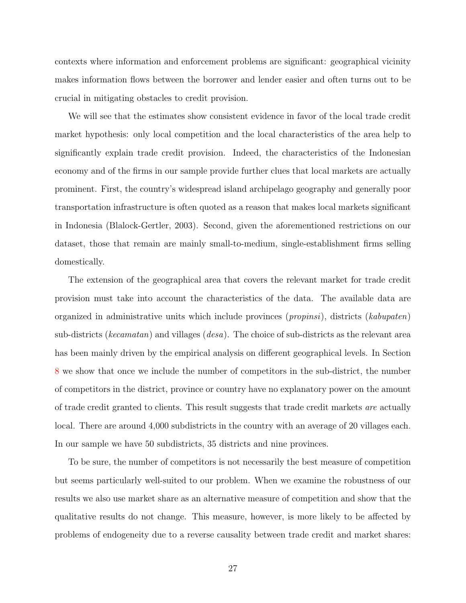contexts where information and enforcement problems are significant: geographical vicinity makes information flows between the borrower and lender easier and often turns out to be crucial in mitigating obstacles to credit provision.

We will see that the estimates show consistent evidence in favor of the local trade credit market hypothesis: only local competition and the local characteristics of the area help to significantly explain trade credit provision. Indeed, the characteristics of the Indonesian economy and of the firms in our sample provide further clues that local markets are actually prominent. First, the country's widespread island archipelago geography and generally poor transportation infrastructure is often quoted as a reason that makes local markets significant in Indonesia (Blalock-Gertler, 2003). Second, given the aforementioned restrictions on our dataset, those that remain are mainly small-to-medium, single-establishment firms selling domestically.

The extension of the geographical area that covers the relevant market for trade credit provision must take into account the characteristics of the data. The available data are organized in administrative units which include provinces (propinsi), districts (kabupaten) sub-districts (kecamatan) and villages (desa). The choice of sub-districts as the relevant area has been mainly driven by the empirical analysis on different geographical levels. In Section [8](#page-34-0) we show that once we include the number of competitors in the sub-district, the number of competitors in the district, province or country have no explanatory power on the amount of trade credit granted to clients. This result suggests that trade credit markets are actually local. There are around 4,000 subdistricts in the country with an average of 20 villages each. In our sample we have 50 subdistricts, 35 districts and nine provinces.

To be sure, the number of competitors is not necessarily the best measure of competition but seems particularly well-suited to our problem. When we examine the robustness of our results we also use market share as an alternative measure of competition and show that the qualitative results do not change. This measure, however, is more likely to be affected by problems of endogeneity due to a reverse causality between trade credit and market shares: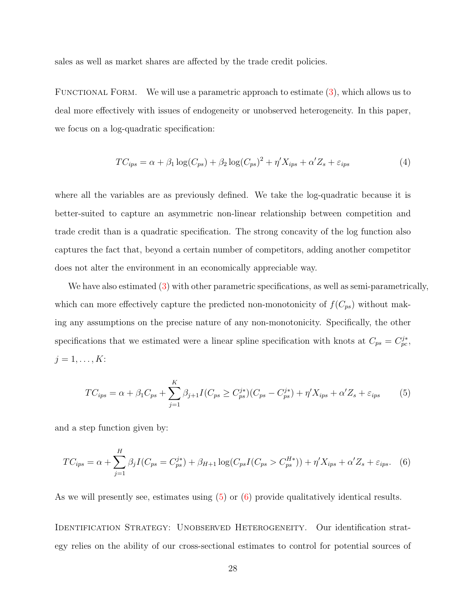sales as well as market shares are affected by the trade credit policies.

FUNCTIONAL FORM. We will use a parametric approach to estimate [\(3\)](#page-24-1), which allows us to deal more effectively with issues of endogeneity or unobserved heterogeneity. In this paper, we focus on a log-quadratic specification:

<span id="page-27-2"></span>
$$
TC_{ips} = \alpha + \beta_1 \log(C_{ps}) + \beta_2 \log(C_{ps})^2 + \eta' X_{ips} + \alpha' Z_s + \varepsilon_{ips}
$$
\n
$$
\tag{4}
$$

where all the variables are as previously defined. We take the log-quadratic because it is better-suited to capture an asymmetric non-linear relationship between competition and trade credit than is a quadratic specification. The strong concavity of the log function also captures the fact that, beyond a certain number of competitors, adding another competitor does not alter the environment in an economically appreciable way.

We have also estimated [\(3\)](#page-24-1) with other parametric specifications, as well as semi-parametrically, which can more effectively capture the predicted non-monotonicity of  $f(C_{ps})$  without making any assumptions on the precise nature of any non-monotonicity. Specifically, the other specifications that we estimated were a linear spline specification with knots at  $C_{ps} = C_{pc}^{j*}$ ,  $j = 1, \ldots, K:$ 

<span id="page-27-0"></span>
$$
TC_{ips} = \alpha + \beta_1 C_{ps} + \sum_{j=1}^{K} \beta_{j+1} I(C_{ps} \ge C_{ps}^{j*})(C_{ps} - C_{ps}^{j*}) + \eta' X_{ips} + \alpha' Z_s + \varepsilon_{ips}
$$
(5)

and a step function given by:

<span id="page-27-1"></span>
$$
TC_{ips} = \alpha + \sum_{j=1}^{H} \beta_j I(C_{ps} = C_{ps}^{j*}) + \beta_{H+1} \log(C_{ps} I(C_{ps} > C_{ps}^{H*})) + \eta' X_{ips} + \alpha' Z_s + \varepsilon_{ips}.
$$
 (6)

As we will presently see, estimates using  $(5)$  or  $(6)$  provide qualitatively identical results.

IDENTIFICATION STRATEGY: UNOBSERVED HETEROGENEITY. Our identification strategy relies on the ability of our cross-sectional estimates to control for potential sources of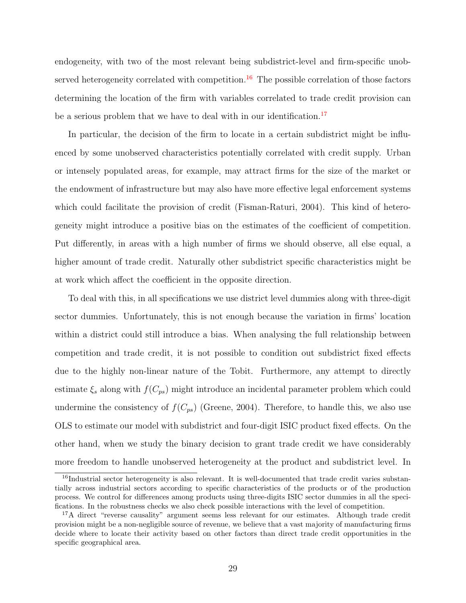endogeneity, with two of the most relevant being subdistrict-level and firm-specific unob-served heterogeneity correlated with competition.<sup>[16](#page-28-0)</sup> The possible correlation of those factors determining the location of the firm with variables correlated to trade credit provision can be a serious problem that we have to deal with in our identification.<sup>[17](#page-28-1)</sup>

In particular, the decision of the firm to locate in a certain subdistrict might be influenced by some unobserved characteristics potentially correlated with credit supply. Urban or intensely populated areas, for example, may attract firms for the size of the market or the endowment of infrastructure but may also have more effective legal enforcement systems which could facilitate the provision of credit (Fisman-Raturi, 2004). This kind of heterogeneity might introduce a positive bias on the estimates of the coefficient of competition. Put differently, in areas with a high number of firms we should observe, all else equal, a higher amount of trade credit. Naturally other subdistrict specific characteristics might be at work which affect the coefficient in the opposite direction.

To deal with this, in all specifications we use district level dummies along with three-digit sector dummies. Unfortunately, this is not enough because the variation in firms' location within a district could still introduce a bias. When analysing the full relationship between competition and trade credit, it is not possible to condition out subdistrict fixed effects due to the highly non-linear nature of the Tobit. Furthermore, any attempt to directly estimate  $\xi_s$  along with  $f(C_{ps})$  might introduce an incidental parameter problem which could undermine the consistency of  $f(C_{ps})$  (Greene, 2004). Therefore, to handle this, we also use OLS to estimate our model with subdistrict and four-digit ISIC product fixed effects. On the other hand, when we study the binary decision to grant trade credit we have considerably more freedom to handle unobserved heterogeneity at the product and subdistrict level. In

<span id="page-28-0"></span><sup>&</sup>lt;sup>16</sup>Industrial sector heterogeneity is also relevant. It is well-documented that trade credit varies substantially across industrial sectors according to specific characteristics of the products or of the production process. We control for differences among products using three-digits ISIC sector dummies in all the specifications. In the robustness checks we also check possible interactions with the level of competition.

<span id="page-28-1"></span><sup>&</sup>lt;sup>17</sup>A direct "reverse causality" argument seems less relevant for our estimates. Although trade credit provision might be a non-negligible source of revenue, we believe that a vast majority of manufacturing firms decide where to locate their activity based on other factors than direct trade credit opportunities in the specific geographical area.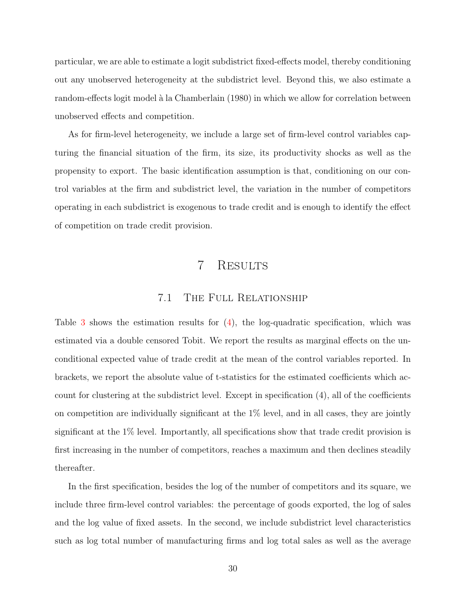particular, we are able to estimate a logit subdistrict fixed-effects model, thereby conditioning out any unobserved heterogeneity at the subdistrict level. Beyond this, we also estimate a random-effects logit model à la Chamberlain (1980) in which we allow for correlation between unobserved effects and competition.

As for firm-level heterogeneity, we include a large set of firm-level control variables capturing the financial situation of the firm, its size, its productivity shocks as well as the propensity to export. The basic identification assumption is that, conditioning on our control variables at the firm and subdistrict level, the variation in the number of competitors operating in each subdistrict is exogenous to trade credit and is enough to identify the effect of competition on trade credit provision.

# 7 Results

### 7.1 The Full Relationship

<span id="page-29-0"></span>Table [3](#page-48-0) shows the estimation results for  $(4)$ , the log-quadratic specification, which was estimated via a double censored Tobit. We report the results as marginal effects on the unconditional expected value of trade credit at the mean of the control variables reported. In brackets, we report the absolute value of t-statistics for the estimated coefficients which account for clustering at the subdistrict level. Except in specification (4), all of the coefficients on competition are individually significant at the 1% level, and in all cases, they are jointly significant at the 1% level. Importantly, all specifications show that trade credit provision is first increasing in the number of competitors, reaches a maximum and then declines steadily thereafter.

In the first specification, besides the log of the number of competitors and its square, we include three firm-level control variables: the percentage of goods exported, the log of sales and the log value of fixed assets. In the second, we include subdistrict level characteristics such as log total number of manufacturing firms and log total sales as well as the average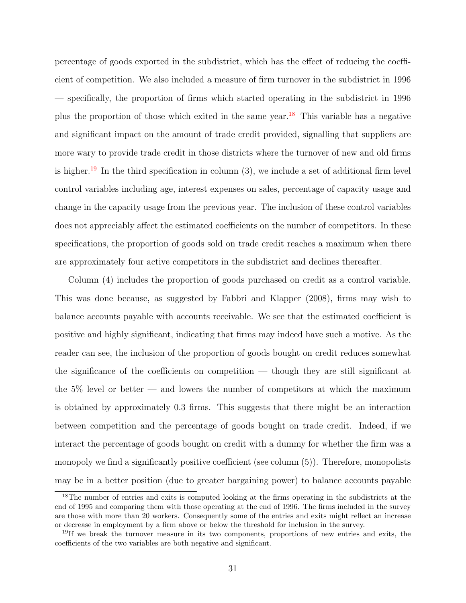percentage of goods exported in the subdistrict, which has the effect of reducing the coefficient of competition. We also included a measure of firm turnover in the subdistrict in 1996 — specifically, the proportion of firms which started operating in the subdistrict in 1996 plus the proportion of those which exited in the same year.<sup>[18](#page-30-0)</sup> This variable has a negative and significant impact on the amount of trade credit provided, signalling that suppliers are more wary to provide trade credit in those districts where the turnover of new and old firms is higher.<sup>[19](#page-30-1)</sup> In the third specification in column  $(3)$ , we include a set of additional firm level control variables including age, interest expenses on sales, percentage of capacity usage and change in the capacity usage from the previous year. The inclusion of these control variables does not appreciably affect the estimated coefficients on the number of competitors. In these specifications, the proportion of goods sold on trade credit reaches a maximum when there are approximately four active competitors in the subdistrict and declines thereafter.

Column (4) includes the proportion of goods purchased on credit as a control variable. This was done because, as suggested by Fabbri and Klapper (2008), firms may wish to balance accounts payable with accounts receivable. We see that the estimated coefficient is positive and highly significant, indicating that firms may indeed have such a motive. As the reader can see, the inclusion of the proportion of goods bought on credit reduces somewhat the significance of the coefficients on competition — though they are still significant at the  $5\%$  level or better — and lowers the number of competitors at which the maximum is obtained by approximately 0.3 firms. This suggests that there might be an interaction between competition and the percentage of goods bought on trade credit. Indeed, if we interact the percentage of goods bought on credit with a dummy for whether the firm was a monopoly we find a significantly positive coefficient (see column  $(5)$ ). Therefore, monopolists may be in a better position (due to greater bargaining power) to balance accounts payable

<span id="page-30-0"></span><sup>&</sup>lt;sup>18</sup>The number of entries and exits is computed looking at the firms operating in the subdistricts at the end of 1995 and comparing them with those operating at the end of 1996. The firms included in the survey are those with more than 20 workers. Consequently some of the entries and exits might reflect an increase or decrease in employment by a firm above or below the threshold for inclusion in the survey.

<span id="page-30-1"></span> $19$ If we break the turnover measure in its two components, proportions of new entries and exits, the coefficients of the two variables are both negative and significant.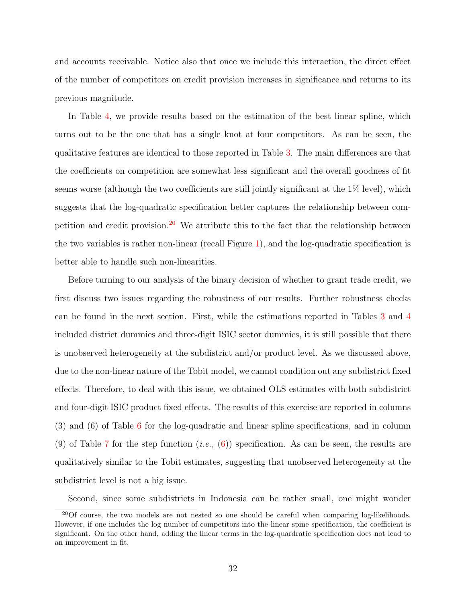and accounts receivable. Notice also that once we include this interaction, the direct effect of the number of competitors on credit provision increases in significance and returns to its previous magnitude.

In Table [4,](#page-49-0) we provide results based on the estimation of the best linear spline, which turns out to be the one that has a single knot at four competitors. As can be seen, the qualitative features are identical to those reported in Table [3.](#page-48-0) The main differences are that the coefficients on competition are somewhat less significant and the overall goodness of fit seems worse (although the two coefficients are still jointly significant at the  $1\%$  level), which suggests that the log-quadratic specification better captures the relationship between com-petition and credit provision.<sup>[20](#page-31-0)</sup> We attribute this to the fact that the relationship between the two variables is rather non-linear (recall Figure [1\)](#page-7-0), and the log-quadratic specification is better able to handle such non-linearities.

Before turning to our analysis of the binary decision of whether to grant trade credit, we first discuss two issues regarding the robustness of our results. Further robustness checks can be found in the next section. First, while the estimations reported in Tables [3](#page-48-0) and [4](#page-49-0) included district dummies and three-digit ISIC sector dummies, it is still possible that there is unobserved heterogeneity at the subdistrict and/or product level. As we discussed above, due to the non-linear nature of the Tobit model, we cannot condition out any subdistrict fixed effects. Therefore, to deal with this issue, we obtained OLS estimates with both subdistrict and four-digit ISIC product fixed effects. The results of this exercise are reported in columns (3) and (6) of Table [6](#page-51-0) for the log-quadratic and linear spline specifications, and in column (9) of Table [7](#page-52-0) for the step function (*i.e.*, [\(6\)](#page-27-1)) specification. As can be seen, the results are qualitatively similar to the Tobit estimates, suggesting that unobserved heterogeneity at the subdistrict level is not a big issue.

<span id="page-31-0"></span>Second, since some subdistricts in Indonesia can be rather small, one might wonder

<sup>&</sup>lt;sup>20</sup>Of course, the two models are not nested so one should be careful when comparing log-likelihoods. However, if one includes the log number of competitors into the linear spine specification, the coefficient is significant. On the other hand, adding the linear terms in the log-quardratic specification does not lead to an improvement in fit.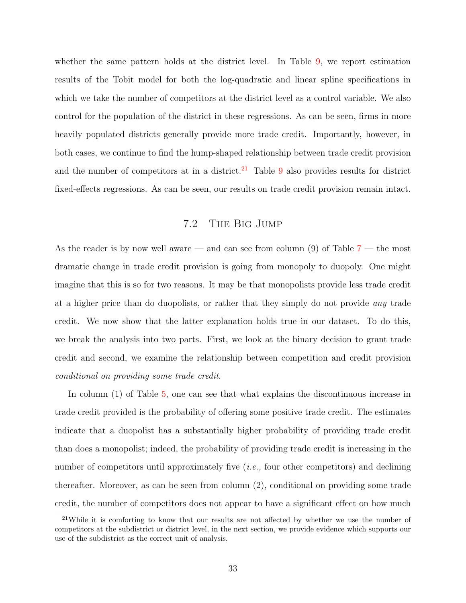whether the same pattern holds at the district level. In Table [9,](#page-54-0) we report estimation results of the Tobit model for both the log-quadratic and linear spline specifications in which we take the number of competitors at the district level as a control variable. We also control for the population of the district in these regressions. As can be seen, firms in more heavily populated districts generally provide more trade credit. Importantly, however, in both cases, we continue to find the hump-shaped relationship between trade credit provision and the number of competitors at in a district.<sup>[21](#page-32-0)</sup> Table [9](#page-54-0) also provides results for district fixed-effects regressions. As can be seen, our results on trade credit provision remain intact.

### 7.2 The Big Jump

As the reader is by now well aware — and can see from column  $(9)$  of Table  $7$  — the most dramatic change in trade credit provision is going from monopoly to duopoly. One might imagine that this is so for two reasons. It may be that monopolists provide less trade credit at a higher price than do duopolists, or rather that they simply do not provide any trade credit. We now show that the latter explanation holds true in our dataset. To do this, we break the analysis into two parts. First, we look at the binary decision to grant trade credit and second, we examine the relationship between competition and credit provision conditional on providing some trade credit.

In column (1) of Table [5,](#page-50-0) one can see that what explains the discontinuous increase in trade credit provided is the probability of offering some positive trade credit. The estimates indicate that a duopolist has a substantially higher probability of providing trade credit than does a monopolist; indeed, the probability of providing trade credit is increasing in the number of competitors until approximately five (*i.e.*, four other competitors) and declining thereafter. Moreover, as can be seen from column (2), conditional on providing some trade credit, the number of competitors does not appear to have a significant effect on how much

<span id="page-32-0"></span><sup>21</sup>While it is comforting to know that our results are not affected by whether we use the number of competitors at the subdistrict or district level, in the next section, we provide evidence which supports our use of the subdistrict as the correct unit of analysis.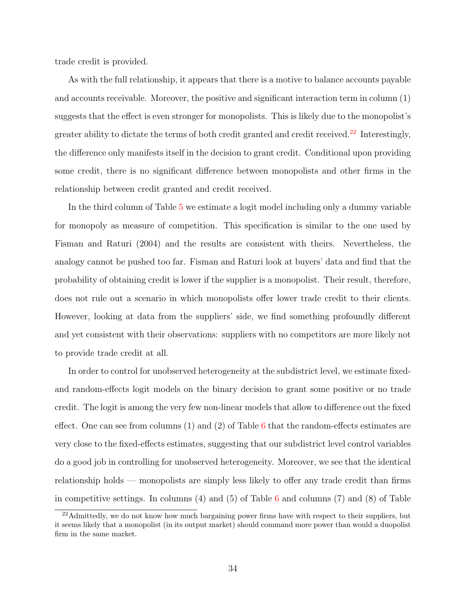trade credit is provided.

As with the full relationship, it appears that there is a motive to balance accounts payable and accounts receivable. Moreover, the positive and significant interaction term in column (1) suggests that the effect is even stronger for monopolists. This is likely due to the monopolist's greater ability to dictate the terms of both credit granted and credit received.<sup>[22](#page-33-0)</sup> Interestingly, the difference only manifests itself in the decision to grant credit. Conditional upon providing some credit, there is no significant difference between monopolists and other firms in the relationship between credit granted and credit received.

In the third column of Table [5](#page-50-0) we estimate a logit model including only a dummy variable for monopoly as measure of competition. This specification is similar to the one used by Fisman and Raturi (2004) and the results are consistent with theirs. Nevertheless, the analogy cannot be pushed too far. Fisman and Raturi look at buyers' data and find that the probability of obtaining credit is lower if the supplier is a monopolist. Their result, therefore, does not rule out a scenario in which monopolists offer lower trade credit to their clients. However, looking at data from the suppliers' side, we find something profoundly different and yet consistent with their observations: suppliers with no competitors are more likely not to provide trade credit at all.

In order to control for unobserved heterogeneity at the subdistrict level, we estimate fixedand random-effects logit models on the binary decision to grant some positive or no trade credit. The logit is among the very few non-linear models that allow to difference out the fixed effect. One can see from columns  $(1)$  and  $(2)$  of Table [6](#page-51-0) that the random-effects estimates are very close to the fixed-effects estimates, suggesting that our subdistrict level control variables do a good job in controlling for unobserved heterogeneity. Moreover, we see that the identical relationship holds — monopolists are simply less likely to offer any trade credit than firms in competitive settings. In columns  $(4)$  and  $(5)$  of Table [6](#page-51-0) and columns  $(7)$  and  $(8)$  of Table

<span id="page-33-0"></span><sup>&</sup>lt;sup>22</sup>Admittedly, we do not know how much bargaining power firms have with respect to their suppliers, but it seems likely that a monopolist (in its output market) should command more power than would a duopolist firm in the same market.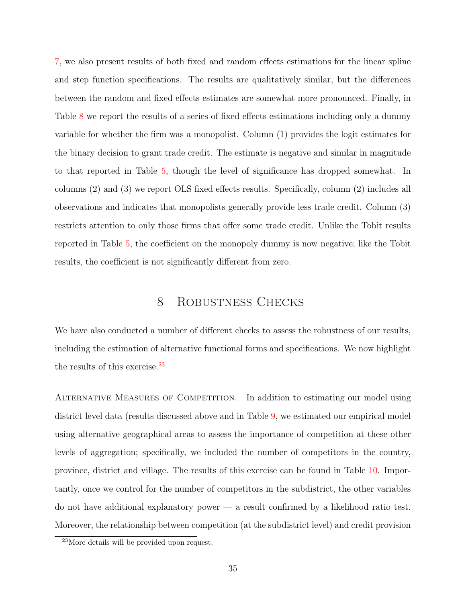[7,](#page-52-0) we also present results of both fixed and random effects estimations for the linear spline and step function specifications. The results are qualitatively similar, but the differences between the random and fixed effects estimates are somewhat more pronounced. Finally, in Table [8](#page-53-0) we report the results of a series of fixed effects estimations including only a dummy variable for whether the firm was a monopolist. Column (1) provides the logit estimates for the binary decision to grant trade credit. The estimate is negative and similar in magnitude to that reported in Table [5,](#page-50-0) though the level of significance has dropped somewhat. In columns (2) and (3) we report OLS fixed effects results. Specifically, column (2) includes all observations and indicates that monopolists generally provide less trade credit. Column (3) restricts attention to only those firms that offer some trade credit. Unlike the Tobit results reported in Table [5,](#page-50-0) the coefficient on the monopoly dummy is now negative; like the Tobit results, the coefficient is not significantly different from zero.

# 8 Robustness Checks

<span id="page-34-0"></span>We have also conducted a number of different checks to assess the robustness of our results, including the estimation of alternative functional forms and specifications. We now highlight the results of this exercise.<sup>[23](#page-34-1)</sup>

Alternative Measures of Competition. In addition to estimating our model using district level data (results discussed above and in Table [9,](#page-54-0) we estimated our empirical model using alternative geographical areas to assess the importance of competition at these other levels of aggregation; specifically, we included the number of competitors in the country, province, district and village. The results of this exercise can be found in Table [10.](#page-55-0) Importantly, once we control for the number of competitors in the subdistrict, the other variables do not have additional explanatory power — a result confirmed by a likelihood ratio test. Moreover, the relationship between competition (at the subdistrict level) and credit provision

<span id="page-34-1"></span><sup>23</sup>More details will be provided upon request.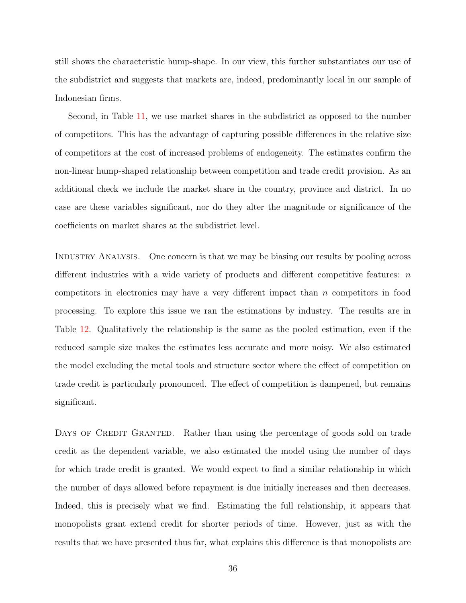still shows the characteristic hump-shape. In our view, this further substantiates our use of the subdistrict and suggests that markets are, indeed, predominantly local in our sample of Indonesian firms.

Second, in Table [11,](#page-56-0) we use market shares in the subdistrict as opposed to the number of competitors. This has the advantage of capturing possible differences in the relative size of competitors at the cost of increased problems of endogeneity. The estimates confirm the non-linear hump-shaped relationship between competition and trade credit provision. As an additional check we include the market share in the country, province and district. In no case are these variables significant, nor do they alter the magnitude or significance of the coefficients on market shares at the subdistrict level.

Industry Analysis. One concern is that we may be biasing our results by pooling across different industries with a wide variety of products and different competitive features:  $n$ competitors in electronics may have a very different impact than  $n$  competitors in food processing. To explore this issue we ran the estimations by industry. The results are in Table [12.](#page-57-0) Qualitatively the relationship is the same as the pooled estimation, even if the reduced sample size makes the estimates less accurate and more noisy. We also estimated the model excluding the metal tools and structure sector where the effect of competition on trade credit is particularly pronounced. The effect of competition is dampened, but remains significant.

DAYS OF CREDIT GRANTED. Rather than using the percentage of goods sold on trade credit as the dependent variable, we also estimated the model using the number of days for which trade credit is granted. We would expect to find a similar relationship in which the number of days allowed before repayment is due initially increases and then decreases. Indeed, this is precisely what we find. Estimating the full relationship, it appears that monopolists grant extend credit for shorter periods of time. However, just as with the results that we have presented thus far, what explains this difference is that monopolists are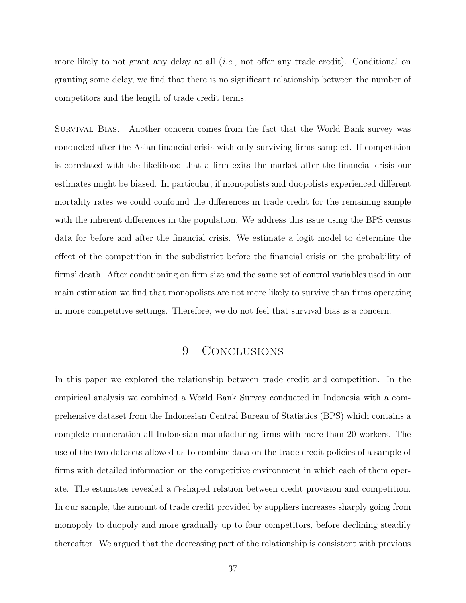more likely to not grant any delay at all  $(i.e.,$  not offer any trade credit). Conditional on granting some delay, we find that there is no significant relationship between the number of competitors and the length of trade credit terms.

Survival Bias. Another concern comes from the fact that the World Bank survey was conducted after the Asian financial crisis with only surviving firms sampled. If competition is correlated with the likelihood that a firm exits the market after the financial crisis our estimates might be biased. In particular, if monopolists and duopolists experienced different mortality rates we could confound the differences in trade credit for the remaining sample with the inherent differences in the population. We address this issue using the BPS census data for before and after the financial crisis. We estimate a logit model to determine the effect of the competition in the subdistrict before the financial crisis on the probability of firms' death. After conditioning on firm size and the same set of control variables used in our main estimation we find that monopolists are not more likely to survive than firms operating in more competitive settings. Therefore, we do not feel that survival bias is a concern.

# 9 CONCLUSIONS

In this paper we explored the relationship between trade credit and competition. In the empirical analysis we combined a World Bank Survey conducted in Indonesia with a comprehensive dataset from the Indonesian Central Bureau of Statistics (BPS) which contains a complete enumeration all Indonesian manufacturing firms with more than 20 workers. The use of the two datasets allowed us to combine data on the trade credit policies of a sample of firms with detailed information on the competitive environment in which each of them operate. The estimates revealed a ∩-shaped relation between credit provision and competition. In our sample, the amount of trade credit provided by suppliers increases sharply going from monopoly to duopoly and more gradually up to four competitors, before declining steadily thereafter. We argued that the decreasing part of the relationship is consistent with previous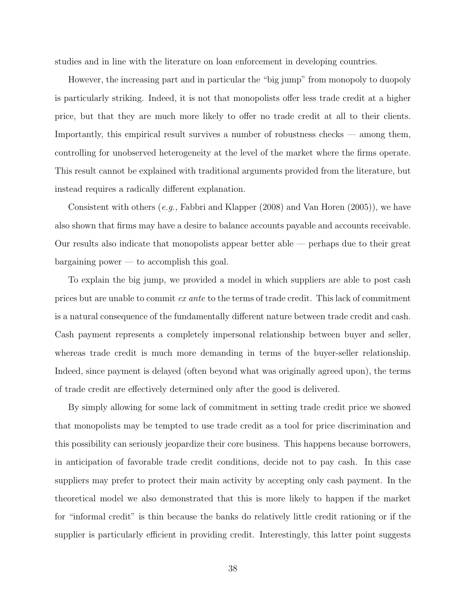studies and in line with the literature on loan enforcement in developing countries.

However, the increasing part and in particular the "big jump" from monopoly to duopoly is particularly striking. Indeed, it is not that monopolists offer less trade credit at a higher price, but that they are much more likely to offer no trade credit at all to their clients. Importantly, this empirical result survives a number of robustness checks — among them, controlling for unobserved heterogeneity at the level of the market where the firms operate. This result cannot be explained with traditional arguments provided from the literature, but instead requires a radically different explanation.

Consistent with others  $(e.g., \text{ Fabbri} \text{ and } \text{Klapper } (2008) \text{ and } \text{Van Horen } (2005)$ , we have also shown that firms may have a desire to balance accounts payable and accounts receivable. Our results also indicate that monopolists appear better able — perhaps due to their great bargaining power — to accomplish this goal.

To explain the big jump, we provided a model in which suppliers are able to post cash prices but are unable to commit ex ante to the terms of trade credit. This lack of commitment is a natural consequence of the fundamentally different nature between trade credit and cash. Cash payment represents a completely impersonal relationship between buyer and seller, whereas trade credit is much more demanding in terms of the buyer-seller relationship. Indeed, since payment is delayed (often beyond what was originally agreed upon), the terms of trade credit are effectively determined only after the good is delivered.

By simply allowing for some lack of commitment in setting trade credit price we showed that monopolists may be tempted to use trade credit as a tool for price discrimination and this possibility can seriously jeopardize their core business. This happens because borrowers, in anticipation of favorable trade credit conditions, decide not to pay cash. In this case suppliers may prefer to protect their main activity by accepting only cash payment. In the theoretical model we also demonstrated that this is more likely to happen if the market for "informal credit" is thin because the banks do relatively little credit rationing or if the supplier is particularly efficient in providing credit. Interestingly, this latter point suggests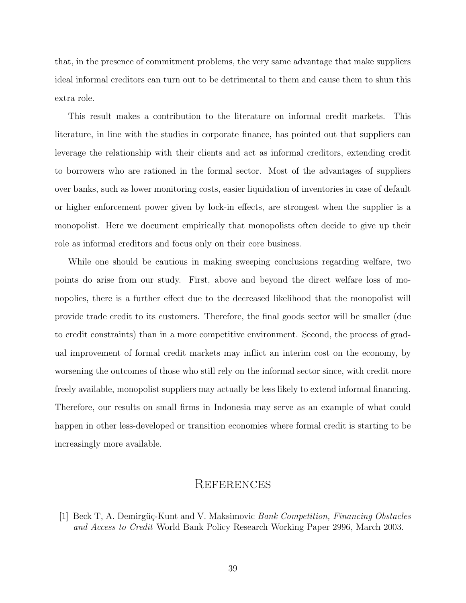that, in the presence of commitment problems, the very same advantage that make suppliers ideal informal creditors can turn out to be detrimental to them and cause them to shun this extra role.

This result makes a contribution to the literature on informal credit markets. This literature, in line with the studies in corporate finance, has pointed out that suppliers can leverage the relationship with their clients and act as informal creditors, extending credit to borrowers who are rationed in the formal sector. Most of the advantages of suppliers over banks, such as lower monitoring costs, easier liquidation of inventories in case of default or higher enforcement power given by lock-in effects, are strongest when the supplier is a monopolist. Here we document empirically that monopolists often decide to give up their role as informal creditors and focus only on their core business.

While one should be cautious in making sweeping conclusions regarding welfare, two points do arise from our study. First, above and beyond the direct welfare loss of monopolies, there is a further effect due to the decreased likelihood that the monopolist will provide trade credit to its customers. Therefore, the final goods sector will be smaller (due to credit constraints) than in a more competitive environment. Second, the process of gradual improvement of formal credit markets may inflict an interim cost on the economy, by worsening the outcomes of those who still rely on the informal sector since, with credit more freely available, monopolist suppliers may actually be less likely to extend informal financing. Therefore, our results on small firms in Indonesia may serve as an example of what could happen in other less-developed or transition economies where formal credit is starting to be increasingly more available.

### **REFERENCES**

[1] Beck T, A. Demirgüç-Kunt and V. Maksimovic *Bank Competition, Financing Obstacles* and Access to Credit World Bank Policy Research Working Paper 2996, March 2003.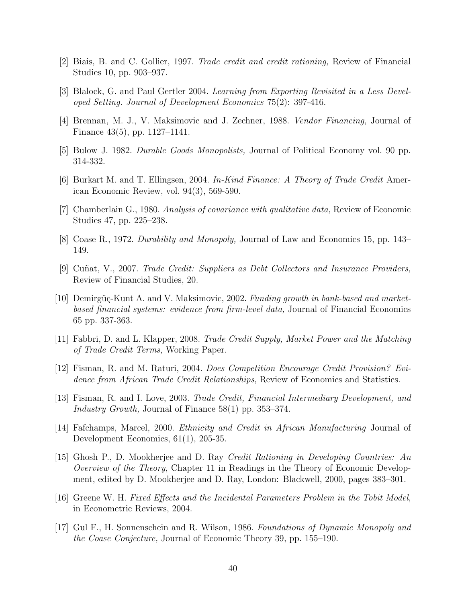- [2] Biais, B. and C. Gollier, 1997. Trade credit and credit rationing, Review of Financial Studies 10, pp. 903–937.
- [3] Blalock, G. and Paul Gertler 2004. Learning from Exporting Revisited in a Less Developed Setting. Journal of Development Economics 75(2): 397-416.
- [4] Brennan, M. J., V. Maksimovic and J. Zechner, 1988. Vendor Financing, Journal of Finance 43(5), pp. 1127–1141.
- [5] Bulow J. 1982. Durable Goods Monopolists, Journal of Political Economy vol. 90 pp. 314-332.
- [6] Burkart M. and T. Ellingsen, 2004. In-Kind Finance: A Theory of Trade Credit American Economic Review, vol. 94(3), 569-590.
- [7] Chamberlain G., 1980. Analysis of covariance with qualitative data, Review of Economic Studies 47, pp. 225–238.
- [8] Coase R., 1972. Durability and Monopoly, Journal of Law and Economics 15, pp. 143– 149.
- [9] Cuñat, V., 2007. Trade Credit: Suppliers as Debt Collectors and Insurance Providers, Review of Financial Studies, 20.
- [10] Demirgüç-Kunt A. and V. Maksimovic, 2002. Funding growth in bank-based and marketbased financial systems: evidence from firm-level data, Journal of Financial Economics 65 pp. 337-363.
- [11] Fabbri, D. and L. Klapper, 2008. Trade Credit Supply, Market Power and the Matching of Trade Credit Terms, Working Paper.
- [12] Fisman, R. and M. Raturi, 2004. Does Competition Encourage Credit Provision? Evidence from African Trade Credit Relationships, Review of Economics and Statistics.
- [13] Fisman, R. and I. Love, 2003. Trade Credit, Financial Intermediary Development, and Industry Growth, Journal of Finance 58(1) pp. 353–374.
- [14] Fafchamps, Marcel, 2000. Ethnicity and Credit in African Manufacturing Journal of Development Economics, 61(1), 205-35.
- [15] Ghosh P., D. Mookherjee and D. Ray Credit Rationing in Developing Countries: An Overview of the Theory, Chapter 11 in Readings in the Theory of Economic Development, edited by D. Mookherjee and D. Ray, London: Blackwell, 2000, pages 383–301.
- [16] Greene W. H. Fixed Effects and the Incidental Parameters Problem in the Tobit Model, in Econometric Reviews, 2004.
- [17] Gul F., H. Sonnenschein and R. Wilson, 1986. Foundations of Dynamic Monopoly and the Coase Conjecture, Journal of Economic Theory 39, pp. 155–190.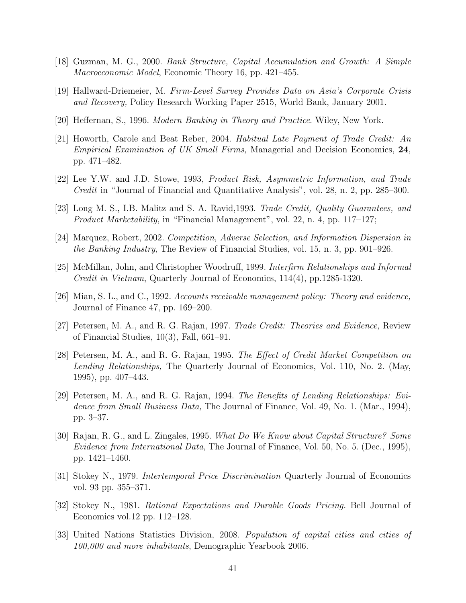- [18] Guzman, M. G., 2000. Bank Structure, Capital Accumulation and Growth: A Simple Macroeconomic Model, Economic Theory 16, pp. 421–455.
- [19] Hallward-Driemeier, M. Firm-Level Survey Provides Data on Asia's Corporate Crisis and Recovery, Policy Research Working Paper 2515, World Bank, January 2001.
- [20] Heffernan, S., 1996. Modern Banking in Theory and Practice. Wiley, New York.
- [21] Howorth, Carole and Beat Reber, 2004. Habitual Late Payment of Trade Credit: An Empirical Examination of UK Small Firms, Managerial and Decision Economics, 24, pp. 471–482.
- [22] Lee Y.W. and J.D. Stowe, 1993, Product Risk, Asymmetric Information, and Trade Credit in "Journal of Financial and Quantitative Analysis", vol. 28, n. 2, pp. 285–300.
- [23] Long M. S., I.B. Malitz and S. A. Ravid,1993. Trade Credit, Quality Guarantees, and Product Marketability, in "Financial Management", vol. 22, n. 4, pp. 117–127;
- [24] Marquez, Robert, 2002. Competition, Adverse Selection, and Information Dispersion in the Banking Industry, The Review of Financial Studies, vol. 15, n. 3, pp. 901–926.
- [25] McMillan, John, and Christopher Woodruff, 1999. Interfirm Relationships and Informal Credit in Vietnam, Quarterly Journal of Economics, 114(4), pp.1285-1320.
- [26] Mian, S. L., and C., 1992. Accounts receivable management policy: Theory and evidence, Journal of Finance 47, pp. 169–200.
- [27] Petersen, M. A., and R. G. Rajan, 1997. Trade Credit: Theories and Evidence, Review of Financial Studies, 10(3), Fall, 661–91.
- [28] Petersen, M. A., and R. G. Rajan, 1995. The Effect of Credit Market Competition on Lending Relationships, The Quarterly Journal of Economics, Vol. 110, No. 2. (May, 1995), pp. 407–443.
- [29] Petersen, M. A., and R. G. Rajan, 1994. The Benefits of Lending Relationships: Evidence from Small Business Data, The Journal of Finance, Vol. 49, No. 1. (Mar., 1994), pp. 3–37.
- [30] Rajan, R. G., and L. Zingales, 1995. What Do We Know about Capital Structure? Some Evidence from International Data, The Journal of Finance, Vol. 50, No. 5. (Dec., 1995), pp. 1421–1460.
- [31] Stokey N., 1979. Intertemporal Price Discrimination Quarterly Journal of Economics vol. 93 pp. 355–371.
- [32] Stokey N., 1981. Rational Expectations and Durable Goods Pricing. Bell Journal of Economics vol.12 pp. 112–128.
- [33] United Nations Statistics Division, 2008. Population of capital cities and cities of 100,000 and more inhabitants, Demographic Yearbook 2006.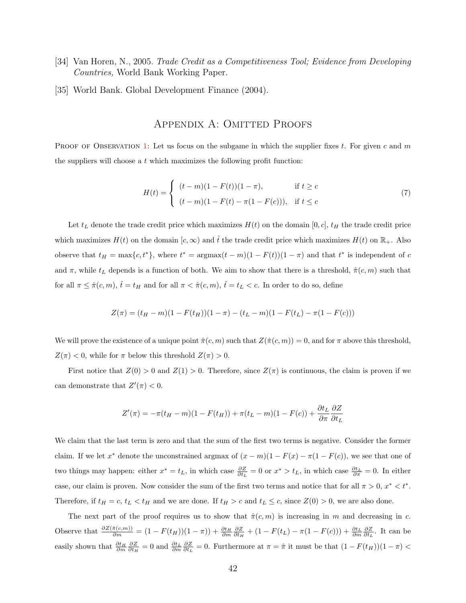- [34] Van Horen, N., 2005. Trade Credit as a Competitiveness Tool; Evidence from Developing Countries, World Bank Working Paper.
- [35] World Bank. Global Development Finance (2004).

### Appendix A: Omitted Proofs

PROOF OF OBSERVATION [1:](#page-13-0) Let us focus on the subgame in which the supplier fixes t. For given c and m the suppliers will choose a  $t$  which maximizes the following profit function:

$$
H(t) = \begin{cases} (t-m)(1-F(t))(1-\pi), & \text{if } t \ge c \\ (t-m)(1-F(t)-\pi(1-F(c))), & \text{if } t \le c \end{cases}
$$
(7)

Let  $t_L$  denote the trade credit price which maximizes  $H(t)$  on the domain [0, c],  $t_H$  the trade credit price which maximizes  $H(t)$  on the domain  $|c, \infty)$  and t the trade credit price which maximizes  $H(t)$  on  $\mathbb{R}_+$ . Also observe that  $t_H = \max\{c, t^*\}$ , where  $t^* = \operatorname{argmax}(t-m)(1 - F(t))(1 - \pi)$  and that  $t^*$  is independent of c and  $\pi$ , while  $t_L$  depends is a function of both. We aim to show that there is a threshold,  $\hat{\pi}(c, m)$  such that for all  $\pi \leq \hat{\pi}(c, m)$ ,  $\hat{t} = t_H$  and for all  $\pi < \hat{\pi}(c, m)$ ,  $\hat{t} = t_L < c$ . In order to do so, define

$$
Z(\pi) = (t_H - m)(1 - F(t_H))(1 - \pi) - (t_L - m)(1 - F(t_L) - \pi(1 - F(c)))
$$

We will prove the existence of a unique point  $\hat{\pi}(c, m)$  such that  $Z(\hat{\pi}(c, m)) = 0$ , and for  $\pi$  above this threshold,  $Z(\pi) < 0$ , while for  $\pi$  below this threshold  $Z(\pi) > 0$ .

First notice that  $Z(0) > 0$  and  $Z(1) > 0$ . Therefore, since  $Z(\pi)$  is continuous, the claim is proven if we can demonstrate that  $Z'(\pi) < 0$ .

$$
Z'(\pi) = -\pi(t_H - m)(1 - F(t_H)) + \pi(t_L - m)(1 - F(c)) + \frac{\partial t_L}{\partial \pi} \frac{\partial Z}{\partial t_L}
$$

We claim that the last term is zero and that the sum of the first two terms is negative. Consider the former claim. If we let  $x^*$  denote the unconstrained argmax of  $(x - m)(1 - F(x) - \pi(1 - F(c))$ , we see that one of two things may happen: either  $x^* = t_L$ , in which case  $\frac{\partial Z}{\partial t_L} = 0$  or  $x^* > t_L$ , in which case  $\frac{\partial t_L}{\partial \pi} = 0$ . In either case, our claim is proven. Now consider the sum of the first two terms and notice that for all  $\pi > 0$ ,  $x^* < t^*$ . Therefore, if  $t_H = c$ ,  $t_L < t_H$  and we are done. If  $t_H > c$  and  $t_L \leq c$ , since  $Z(0) > 0$ , we are also done.

The next part of the proof requires us to show that  $\hat{\pi}(c, m)$  is increasing in m and decreasing in c. Observe that  $\frac{\partial Z(\hat{\pi}(c,m))}{\partial m} = (1 - F(t_H))(1 - \pi) + \frac{\partial t_H}{\partial m} \frac{\partial Z}{\partial t_H} + (1 - F(t_L) - \pi(1 - F(c))) + \frac{\partial t_L}{\partial m} \frac{\partial Z}{\partial t_L}$ . It can be easily shown that  $\frac{\partial t_H}{\partial m} \frac{\partial Z}{\partial t_H} = 0$  and  $\frac{\partial t_L}{\partial m} \frac{\partial Z}{\partial t_L} = 0$ . Furthermore at  $\pi = \hat{\pi}$  it must be that  $(1 - F(t_H))(1 - \pi)$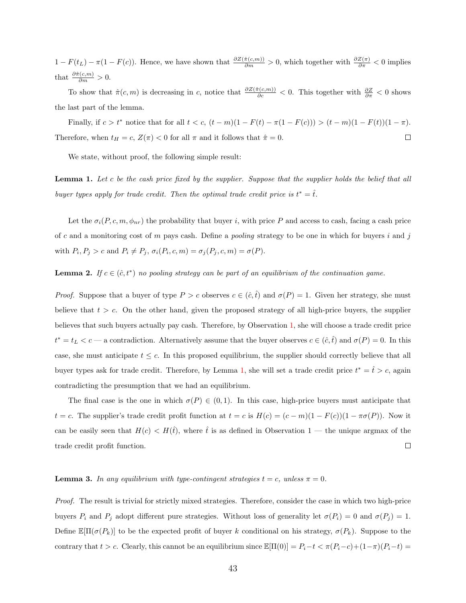$1 - F(t_L) - \pi(1 - F(c))$ . Hence, we have shown that  $\frac{\partial Z(\hat{\pi}(c,m))}{\partial m} > 0$ , which together with  $\frac{\partial Z(\pi)}{\partial \pi} < 0$  implies that  $\frac{\partial \hat{\pi}(c,m)}{\partial m} > 0$ .

To show that  $\hat{\pi}(c, m)$  is decreasing in c, notice that  $\frac{\partial Z(\hat{\pi}(c, m))}{\partial c} < 0$ . This together with  $\frac{\partial Z}{\partial \pi} < 0$  shows the last part of the lemma.

Finally, if  $c > t^*$  notice that for all  $t < c$ ,  $(t - m)(1 - F(t) - \pi(1 - F(c))) > (t - m)(1 - F(t))(1 - \pi)$ . Therefore, when  $t_H = c,\, Z(\pi) < 0$  for all  $\pi$  and it follows that  $\hat{\pi} = 0.$  $\Box$ 

<span id="page-42-2"></span>We state, without proof, the following simple result:

Lemma 1. Let c be the cash price fixed by the supplier. Suppose that the supplier holds the belief that all buyer types apply for trade credit. Then the optimal trade credit price is  $t^* = \hat{t}$ .

Let the  $\sigma_i(P, c, m, \phi_{nr})$  the probability that buyer i, with price P and access to cash, facing a cash price of c and a monitoring cost of m pays cash. Define a *pooling* strategy to be one in which for buyers i and j with  $P_i, P_j > c$  and  $P_i \neq P_j, \sigma_i(P_i, c, m) = \sigma_j(P_j, c, m) = \sigma(P)$ .

<span id="page-42-0"></span>**Lemma 2.** If  $c \in (\hat{c}, t^*)$  no pooling strategy can be part of an equilibrium of the continuation game.

*Proof.* Suppose that a buyer of type  $P > c$  observes  $c \in (\hat{c}, \hat{t})$  and  $\sigma(P) = 1$ . Given her strategy, she must believe that  $t > c$ . On the other hand, given the proposed strategy of all high-price buyers, the supplier believes that such buyers actually pay cash. Therefore, by Observation [1,](#page-13-0) she will choose a trade credit price  $t^* = t_L < c$  — a contradiction. Alternatively assume that the buyer observes  $c \in (\hat{c}, \hat{t})$  and  $\sigma(P) = 0$ . In this case, she must anticipate  $t \leq c$ . In this proposed equilibrium, the supplier should correctly believe that all buyer types ask for trade credit. Therefore, by Lemma [1,](#page-42-2) she will set a trade credit price  $t^* = \hat{t} > c$ , again contradicting the presumption that we had an equilibrium.

The final case is the one in which  $\sigma(P) \in (0,1)$ . In this case, high-price buyers must anticipate that t = c. The supplier's trade credit profit function at  $t = c$  is  $H(c) = (c - m)(1 - F(c))(1 - \pi\sigma(P))$ . Now it can be easily seen that  $H(c) < H(\hat{t})$ , where  $\hat{t}$  is as defined in Observation 1 — the unique argmax of the  $\Box$ trade credit profit function.

#### <span id="page-42-1"></span>**Lemma 3.** In any equilibrium with type-contingent strategies  $t = c$ , unless  $\pi = 0$ .

Proof. The result is trivial for strictly mixed strategies. Therefore, consider the case in which two high-price buyers  $P_i$  and  $P_j$  adopt different pure strategies. Without loss of generality let  $\sigma(P_i) = 0$  and  $\sigma(P_j) = 1$ . Define  $\mathbb{E}[\Pi(\sigma(P_k))]$  to be the expected profit of buyer k conditional on his strategy,  $\sigma(P_k)$ . Suppose to the contrary that  $t > c$ . Clearly, this cannot be an equilibrium since  $\mathbb{E}[\Pi(0)] = P_i - t < \pi(P_i - c) + (1 - \pi)(P_i - t) =$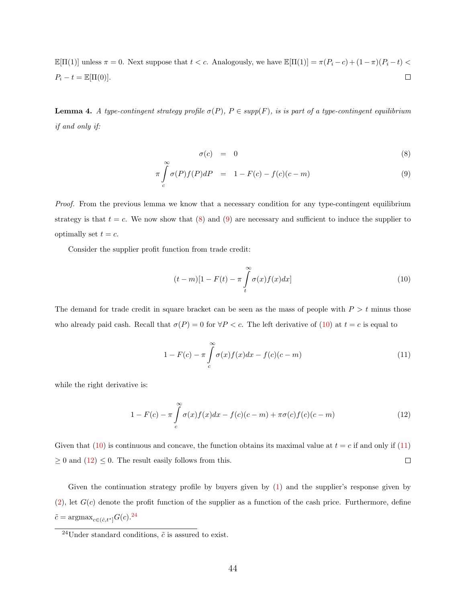$\mathbb{E}[\Pi(1)]$  unless  $\pi = 0$ . Next suppose that  $t < c$ . Analogously, we have  $\mathbb{E}[\Pi(1)] = \pi (P_i - c) + (1 - \pi)(P_i - t) <$  $\Box$  $P_i - t = \mathbb{E}[\Pi(0)].$ 

<span id="page-43-0"></span>**Lemma 4.** A type-contingent strategy profile  $\sigma(P)$ ,  $P \in supp(F)$ , is is part of a type-contingent equilibrium if and only if:

<span id="page-43-2"></span>
$$
\sigma(c) = 0 \tag{8}
$$

$$
\pi \int_{c}^{\infty} \sigma(P)f(P)dP = 1 - F(c) - f(c)(c - m)
$$
\n(9)

Proof. From the previous lemma we know that a necessary condition for any type-contingent equilibrium strategy is that  $t = c$ . We now show that  $(8)$  and  $(9)$  are necessary and sufficient to induce the supplier to optimally set  $t = c$ .

Consider the supplier profit function from trade credit:

<span id="page-43-3"></span>
$$
(t-m)[1 - F(t) - \pi \int_{t}^{\infty} \sigma(x)f(x)dx]
$$
\n(10)

The demand for trade credit in square bracket can be seen as the mass of people with  $P > t$  minus those who already paid cash. Recall that  $\sigma(P) = 0$  for  $\forall P < c$ . The left derivative of [\(10\)](#page-43-3) at  $t = c$  is equal to

<span id="page-43-4"></span>
$$
1 - F(c) - \pi \int_{c}^{\infty} \sigma(x) f(x) dx - f(c)(c - m)
$$
\n(11)

while the right derivative is:

<span id="page-43-5"></span>
$$
1 - F(c) - \pi \int_{c}^{\infty} \sigma(x) f(x) dx - f(c)(c - m) + \pi \sigma(c) f(c)(c - m)
$$
\n(12)

Given that [\(10\)](#page-43-3) is continuous and concave, the function obtains its maximal value at  $t = c$  if and only if [\(11\)](#page-43-4)  $\geq 0$  and  $(12) \leq 0$  $(12) \leq 0$ . The result easily follows from this.  $\Box$ 

Given the continuation strategy profile by buyers given by [\(1\)](#page-16-0) and the supplier's response given by  $(2)$ , let  $G(c)$  denote the profit function of the supplier as a function of the cash price. Furthermore, define  $\tilde{c} = \operatorname{argmax}_{c \in (\hat{c}, t^*]} G(c).^{24}$  $\tilde{c} = \operatorname{argmax}_{c \in (\hat{c}, t^*]} G(c).^{24}$  $\tilde{c} = \operatorname{argmax}_{c \in (\hat{c}, t^*]} G(c).^{24}$ 

<span id="page-43-6"></span><span id="page-43-1"></span><sup>&</sup>lt;sup>24</sup>Under standard conditions,  $\tilde{c}$  is assured to exist.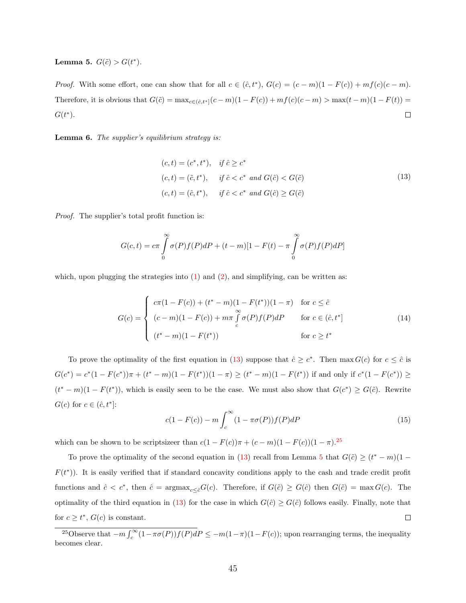Lemma 5.  $G(\tilde{c}) > G(t^*)$ .

*Proof.* With some effort, one can show that for all  $c \in (\hat{c}, t^*)$ ,  $G(c) = (c - m)(1 - F(c)) + mf(c)(c - m)$ . Therefore, it is obvious that  $G(\tilde{c}) = \max_{c \in (\tilde{c}, t^*)}(c - m)(1 - F(c)) + mf(c)(c - m) > \max(t - m)(1 - F(t)) =$  $G(t^*).$  $\Box$ 

Lemma 6. The supplier's equilibrium strategy is:

<span id="page-44-0"></span>
$$
(c, t) = (c^*, t^*), \quad \text{if } \hat{c} \ge c^*
$$
\n
$$
(c, t) = (\tilde{c}, t^*), \quad \text{if } \hat{c} < c^* \text{ and } G(\hat{c}) < G(\tilde{c})
$$
\n
$$
(c, t) = (\hat{c}, t^*), \quad \text{if } \hat{c} < c^* \text{ and } G(\hat{c}) \ge G(\tilde{c})
$$
\n
$$
(13)
$$

Proof. The supplier's total profit function is:

$$
G(c,t) = c\pi \int_{0}^{\infty} \sigma(P)f(P)dP + (t-m)[1 - F(t) - \pi \int_{0}^{\infty} \sigma(P)f(P)dP]
$$

which, upon plugging the strategies into  $(1)$  and  $(2)$ , and simplifying, can be written as:

$$
G(c) = \begin{cases} c\pi(1 - F(c)) + (t^* - m)(1 - F(t^*))(1 - \pi) & \text{for } c \le \hat{c} \\ (c - m)(1 - F(c)) + m\pi \int_{c}^{\infty} \sigma(P)f(P)dP & \text{for } c \in (\hat{c}, t^*] \\ (t^* - m)(1 - F(t^*)) & \text{for } c \ge t^* \end{cases}
$$
(14)

To prove the optimality of the first equation in [\(13\)](#page-44-0) suppose that  $\hat{c} \geq c^*$ . Then max  $G(c)$  for  $c \leq \hat{c}$  is  $G(c^*) = c^*(1 - F(c^*))\pi + (t^* - m)(1 - F(t^*))(1 - \pi) \ge (t^* - m)(1 - F(t^*))$  if and only if  $c^*(1 - F(c^*)) \ge$  $(t^* - m)(1 - F(t^*))$ , which is easily seen to be the case. We must also show that  $G(c^*) \geq G(\tilde{c})$ . Rewrite  $G(c)$  for  $c \in (\hat{c}, t^*]$ :

$$
c(1 - F(c)) - m \int_{c}^{\infty} (1 - \pi \sigma(P)) f(P) dP \tag{15}
$$

which can be shown to be script<br>sizeer than  $c(1 - F(c))\pi + (c - m)(1 - F(c))(1 - \pi)^{25}$  $c(1 - F(c))\pi + (c - m)(1 - F(c))(1 - \pi)^{25}$  $c(1 - F(c))\pi + (c - m)(1 - F(c))(1 - \pi)^{25}$ 

To prove the optimality of the second equation in [\(13\)](#page-44-0) recall from Lemma [5](#page-43-1) that  $G(\tilde{c}) \geq (t^* - m)(1 F(t^*)$ ). It is easily verified that if standard concavity conditions apply to the cash and trade credit profit functions and  $\hat{c} < c^*$ , then  $\hat{c} = \text{argmax}_{c \leq \hat{c}} G(c)$ . Therefore, if  $G(\tilde{c}) \geq G(\hat{c})$  then  $G(\tilde{c}) = \max G(c)$ . The optimality of the third equation in [\(13\)](#page-44-0) for the case in which  $G(\hat{c}) \geq G(\tilde{c})$  follows easily. Finally, note that for  $c \geq t^*$ ,  $G(c)$  is constant.  $\Box$ 

<span id="page-44-1"></span><sup>&</sup>lt;sup>25</sup>Observe that  $-m \int_c^{\infty} (1 - \pi \sigma(P)) f(P) dP \le -m(1 - \pi)(1 - F(c))$ ; upon rearranging terms, the inequality becomes clear.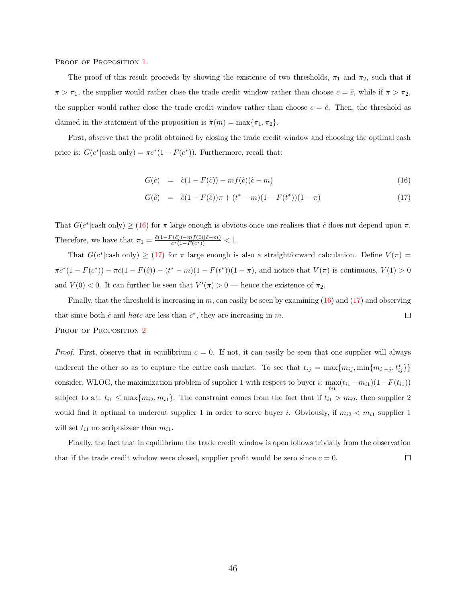PROOF OF PROPOSITION [1](#page-11-0).

The proof of this result proceeds by showing the existence of two thresholds,  $\pi_1$  and  $\pi_2$ , such that if  $\pi > \pi_1$ , the supplier would rather close the trade credit window rather than choose  $c = \tilde{c}$ , while if  $\pi > \pi_2$ , the supplier would rather close the trade credit window rather than choose  $c = \hat{c}$ . Then, the threshold as claimed in the statement of the proposition is  $\hat{\pi}(m) = \max\{\pi_1, \pi_2\}.$ 

First, observe that the profit obtained by closing the trade credit window and choosing the optimal cash price is:  $G(c^*|\text{cash only}) = \pi c^*(1 - F(c^*))$ . Furthermore, recall that:

<span id="page-45-0"></span>
$$
G(\tilde{c}) = \tilde{c}(1 - F(\tilde{c})) - mf(\tilde{c})(\tilde{c} - m) \tag{16}
$$

$$
G(\hat{c}) = \hat{c}(1 - F(\hat{c}))\pi + (t^* - m)(1 - F(t^*))(1 - \pi)
$$
\n(17)

That  $G(c^*|cash only) \ge (16)$  $G(c^*|cash only) \ge (16)$  for  $\pi$  large enough is obvious once one realises that  $\tilde{c}$  does not depend upon  $\pi$ . Therefore, we have that  $\pi_1 = \frac{\tilde{c}(1-F(\tilde{c})) - mf(\tilde{c})(\tilde{c}-m)}{c^*(1-F(c^*))}$  $\frac{(c)) - m f(c)(c-m)}{c^*(1-F(c^*))} < 1.$ 

That  $G(c^*|cash only) \ge (17)$  $G(c^*|cash only) \ge (17)$  for  $\pi$  large enough is also a straightforward calculation. Define  $V(\pi)$  =  $\pi c^{*}(1 - F(c^{*})) - \pi \hat{c}(1 - F(\hat{c})) - (t^{*} - m)(1 - F(t^{*}))(1 - \pi)$ , and notice that  $V(\pi)$  is continuous,  $V(1) > 0$ and  $V(0) < 0$ . It can further be seen that  $V'(\pi) > 0$  — hence the existence of  $\pi_2$ .

Finally, that the threshold is increasing in  $m$ , can easily be seen by examining  $(16)$  and  $(17)$  and observing that since both  $\tilde{c}$  and *hatc* are less than  $c^*$ , they are increasing in m.  $\Box$ PROOF OF PROPOSITION [2](#page-17-1)

*Proof.* First, observe that in equilibrium  $c = 0$ . If not, it can easily be seen that one supplier will always undercut the other so as to capture the entire cash market. To see that  $t_{ij} = \max\{m_{ij}, \min\{m_{i,-j}, t_{ij}^*\}\}\$ consider, WLOG, the maximization problem of supplier 1 with respect to buyer  $i: \max_{t_{i1}}(t_{i1} - m_{i1})(1 - F(t_{i1}))$ subject to s.t.  $t_{i1} \le \max\{m_{i2}, m_{i1}\}.$  The constraint comes from the fact that if  $t_{i1} > m_{i2}$ , then supplier 2 would find it optimal to undercut supplier 1 in order to serve buyer i. Obviously, if  $m_{i2} < m_{i1}$  supplier 1 will set  $t_{i1}$  no scriptsizeer than  $m_{i1}$ .

Finally, the fact that in equilibrium the trade credit window is open follows trivially from the observation that if the trade credit window were closed, supplier profit would be zero since  $c = 0$ .  $\Box$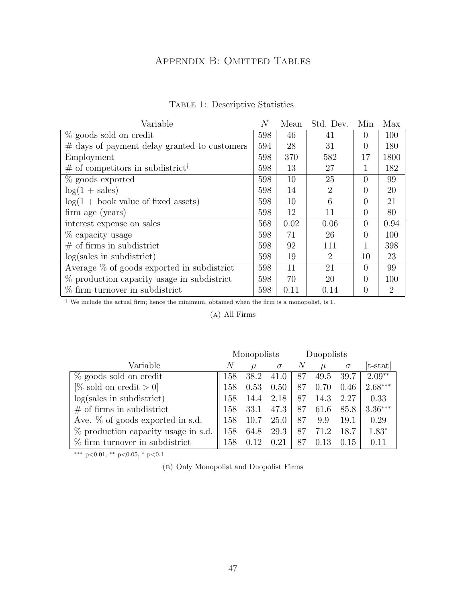# Appendix B: Omitted Tables

| Variable                                        | N   | Mean | Std. Dev.      | Min              | Max  |
|-------------------------------------------------|-----|------|----------------|------------------|------|
| $%$ goods sold on credit                        | 598 | 46   | 41             | $\Omega$         | 100  |
| $\#$ days of payment delay granted to customers | 594 | 28   | 31             | $\left( \right)$ | 180  |
| Employment                                      | 598 | 370  | 582            | 17               | 1800 |
| $\#$ of competitors in subdistrict <sup>†</sup> | 598 | 13   | 27             |                  | 182  |
| $%$ goods exported                              | 598 | 10   | 25             | $\theta$         | 99   |
| $log(1 + sales)$                                | 598 | 14   | $\overline{2}$ | 0                | 20   |
| $log(1 + book$ value of fixed assets)           | 598 | 10   | 6              | 0                | 21   |
| firm age (years)                                | 598 | 12   | 11             | 0                | 80   |
| interest expense on sales                       | 568 | 0.02 | 0.06           | $\Omega$         | 0.94 |
| % capacity usage                                | 598 | 71   | 26             | 0                | 100  |
| $#$ of firms in subdistrict                     | 598 | 92   | 111            | 1                | 398  |
| log(sales in subdistinct)                       | 598 | 19   | 2              | 10               | 23   |
| Average $\%$ of goods exported in subdistrict   | 598 | 11   | 21             | 0                | 99   |
| % production capacity usage in subdistrict      | 598 | 70   | 20             | 0                | 100  |
| $\%$ firm turnover in subdistrict               | 598 | 0.11 | 0.14           | 0                | 2    |

### <span id="page-46-0"></span>Table 1: Descriptive Statistics

 $^\dagger$  We include the actual firm; hence the minimum, obtained when the firm is a monopolist, is 1.

#### (a) All Firms

|                                     |     | Monopolists |          |    | Duopolists |          |                   |
|-------------------------------------|-----|-------------|----------|----|------------|----------|-------------------|
| Variable                            | N   | $\mu$       | $\sigma$ | N  | $\mu$      | $\sigma$ | $ \text{t-stat} $ |
| % goods sold on credit              | 158 | 38.2        | 41.0     | 87 | 49.5       | 39.7     | $2.09**$          |
| $[\% \text{ sold on credit} > 0]$   | 158 | 0.53        | 0.50     | 87 | 0.70       | 0.46     | $2.68***$         |
| log(sales in subdistinct)           | 158 | 14.4        | 2.18     | 87 | 14.3       | 2.27     | 0.33              |
| $#$ of firms in subdistrict         | 158 | 33.1        | 47.3     | 87 | 61.6       | 85.8     | $3.36***$         |
| Ave. $\%$ of goods exported in s.d. | 158 | 10.7        | 25.0     | 87 | 9.9        | 19.1     | 0.29              |
| % production capacity usage in s.d. | 158 | 64.8        | 29.3     | 87 | 71.2       | 18.7     | $1.83*$           |
| $\%$ firm turnover in subdistrict   | 158 |             | 0.21     |    | 0.13       | 0.15     | 0.11              |

(b) Only Monopolist and Duopolist Firms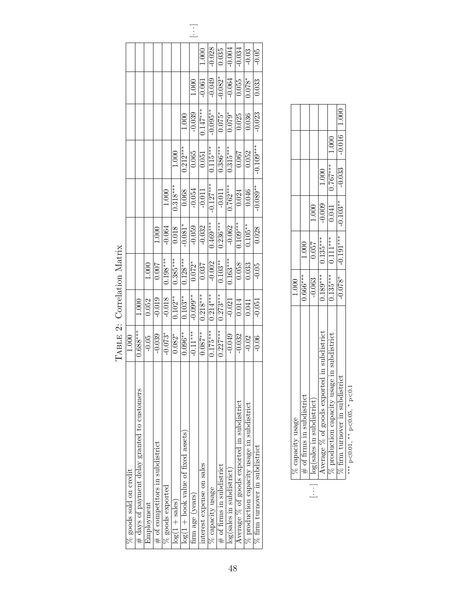<span id="page-47-0"></span>

| $0.115***$<br>$0.386***$<br>$0.315***$<br>$0.212***$<br>0.051<br>$1.000$<br>0.065<br>$-0.127***$<br>$0.318***$<br>$0.762***$<br>$-0.011$<br>0.068<br>$-0.011$<br>$-0.054$<br>1.000<br>$0.469***$<br>$0.236***$<br>0.018<br>$-0.081*$<br>$-0.062$<br>$-0.032$<br>$-0.064$<br>$-0.059$<br>1.000<br>$0.385***$<br>$0.128***$<br>$-0.002$<br>$0.163***$<br>$0.103**$<br>$0.198***$<br>$0.072*$<br>$1.000$<br>0.007<br>0.037<br>$0.102**$<br>$-0.018$<br>$0.103**$<br>$0.214***$<br>$0.273***$<br>$-0.099**$<br>$0.218***$<br>$-0.019$<br>0.052<br>$-0.021$<br>1.000<br>$0.175***$<br>$0.227***$<br>$0.688***$<br>$-0.11***$<br>$0.087**$<br>$0.096**$<br>$-0.073*$<br>$0.082*$<br>$-0.049$<br>$-0.039$<br>$-0.05$<br>$\#$ days of payment delay granted to customers<br>$log(1 + book$ value of fixed assets<br>$#$ of competitors in subdistrict<br>interest expense on sales<br>$#$ of firms in subdistrict<br>log(sales in subdistrict)<br>% goods exported<br>% capacity usage<br>firm age (years)<br>$log(1 + sales)$<br>Employment | $\%$ goods sold on credit                  | $1.000$  |       |       |            |       |       |            |           |          |               |
|--------------------------------------------------------------------------------------------------------------------------------------------------------------------------------------------------------------------------------------------------------------------------------------------------------------------------------------------------------------------------------------------------------------------------------------------------------------------------------------------------------------------------------------------------------------------------------------------------------------------------------------------------------------------------------------------------------------------------------------------------------------------------------------------------------------------------------------------------------------------------------------------------------------------------------------------------------------------------------------------------------------------------------------|--------------------------------------------|----------|-------|-------|------------|-------|-------|------------|-----------|----------|---------------|
|                                                                                                                                                                                                                                                                                                                                                                                                                                                                                                                                                                                                                                                                                                                                                                                                                                                                                                                                                                                                                                      |                                            |          |       |       |            |       |       |            |           |          |               |
|                                                                                                                                                                                                                                                                                                                                                                                                                                                                                                                                                                                                                                                                                                                                                                                                                                                                                                                                                                                                                                      |                                            |          |       |       |            |       |       |            |           |          |               |
|                                                                                                                                                                                                                                                                                                                                                                                                                                                                                                                                                                                                                                                                                                                                                                                                                                                                                                                                                                                                                                      |                                            |          |       |       |            |       |       |            |           |          |               |
|                                                                                                                                                                                                                                                                                                                                                                                                                                                                                                                                                                                                                                                                                                                                                                                                                                                                                                                                                                                                                                      |                                            |          |       |       |            |       |       |            |           |          |               |
|                                                                                                                                                                                                                                                                                                                                                                                                                                                                                                                                                                                                                                                                                                                                                                                                                                                                                                                                                                                                                                      |                                            |          |       |       |            |       |       |            |           |          |               |
|                                                                                                                                                                                                                                                                                                                                                                                                                                                                                                                                                                                                                                                                                                                                                                                                                                                                                                                                                                                                                                      |                                            |          |       |       |            |       |       | 1.000      |           |          |               |
|                                                                                                                                                                                                                                                                                                                                                                                                                                                                                                                                                                                                                                                                                                                                                                                                                                                                                                                                                                                                                                      |                                            |          |       |       |            |       |       | $-0.039$   | 1.000     |          | $\frac{1}{1}$ |
|                                                                                                                                                                                                                                                                                                                                                                                                                                                                                                                                                                                                                                                                                                                                                                                                                                                                                                                                                                                                                                      |                                            |          |       |       |            |       |       | $0.147***$ | $-0.061$  | 1.000    |               |
|                                                                                                                                                                                                                                                                                                                                                                                                                                                                                                                                                                                                                                                                                                                                                                                                                                                                                                                                                                                                                                      |                                            |          |       |       |            |       |       | $-0.095**$ | $-0.049$  | $-0.028$ |               |
|                                                                                                                                                                                                                                                                                                                                                                                                                                                                                                                                                                                                                                                                                                                                                                                                                                                                                                                                                                                                                                      |                                            |          |       |       |            |       |       | $0.075*$   | $-0.082*$ | 0.035    |               |
|                                                                                                                                                                                                                                                                                                                                                                                                                                                                                                                                                                                                                                                                                                                                                                                                                                                                                                                                                                                                                                      |                                            |          |       |       |            |       |       | $0.079*$   | $-0.064$  | $-0.004$ |               |
|                                                                                                                                                                                                                                                                                                                                                                                                                                                                                                                                                                                                                                                                                                                                                                                                                                                                                                                                                                                                                                      | Average % of goods exported in subdistrict | $-0.032$ | 0.014 | 0.058 | $0.109***$ | 0.024 | 0.067 | 0.025      | 0.055     | $-0.034$ |               |
| 0.052<br>0.046<br>$0.105**$<br>0.033<br>0.041<br>$-0.02$<br>% production capacity usage in subdistrict                                                                                                                                                                                                                                                                                                                                                                                                                                                                                                                                                                                                                                                                                                                                                                                                                                                                                                                               |                                            |          |       |       |            |       |       | 0.036      | $0.078*$  | $-0.03$  |               |
| $-0.109$ ***<br>$-0.089**$<br>0.028<br>$-0.05$<br>$-0.051$<br>$-0.06$<br>% firm turnover in subdistrict                                                                                                                                                                                                                                                                                                                                                                                                                                                                                                                                                                                                                                                                                                                                                                                                                                                                                                                              |                                            |          |       |       |            |       |       | $-0.023$   | 0.033     | $-0.05$  |               |

| Ş                     |
|-----------------------|
| tion<br>orrelat.<br>( |
| ä                     |
| TABLE                 |

| $-0.016$<br>1.000<br>$0.767***$<br>$-0.033$<br>1.000<br>$-0.103**$<br>$-0.009$<br>$-0.041$<br>1.000<br>$-0.191***$<br>$0.135***$<br>$0.111***$<br>0.057<br>1.000<br>$0.189***$<br>$0.135***$<br>$0.666***$<br>$0.078*$<br>0.063<br>of goods exported in subdistrict<br>on capacity usage in subdistrict<br>over in subdistrict<br>subdistrict<br>subdistrict)<br>sales in<br>$\sim$ product: | $_{\rm usage}$ | 1.000 |  |  |       |
|----------------------------------------------------------------------------------------------------------------------------------------------------------------------------------------------------------------------------------------------------------------------------------------------------------------------------------------------------------------------------------------------|----------------|-------|--|--|-------|
|                                                                                                                                                                                                                                                                                                                                                                                              |                |       |  |  |       |
|                                                                                                                                                                                                                                                                                                                                                                                              |                |       |  |  |       |
|                                                                                                                                                                                                                                                                                                                                                                                              |                |       |  |  |       |
|                                                                                                                                                                                                                                                                                                                                                                                              |                |       |  |  |       |
|                                                                                                                                                                                                                                                                                                                                                                                              |                |       |  |  | 1.000 |

\*\*\* p<0.01, \*\* p<0.05, \* p<0.1 ∗∗∗ p<0.01, ∗∗ p<0.05, ∗ p<0.1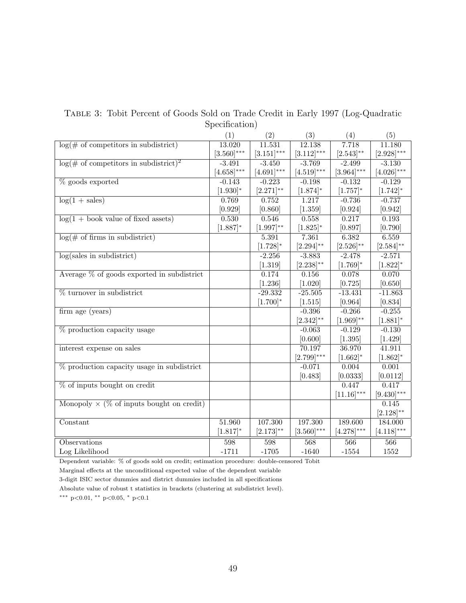|                                                   | (1)                | (2)                      | (3)             | (4)             | (5)             |
|---------------------------------------------------|--------------------|--------------------------|-----------------|-----------------|-----------------|
| $log(\text{\# of competitors in subdistrict})$    | 13.020             | 11.531                   | 12.138          | 7.718           | 11.180          |
|                                                   | $[3.560]$ ***      | $[3.151]^{\ast\ast\ast}$ | $[3.112]$ ***   | $[2.543]^{**}$  | $[2.928]^{***}$ |
| $\log(\text{\# of competitors in subdistrict})^2$ | $-3.491$           | $-3.450$                 | $-3.769$        | $-2.499$        | $-3.130$        |
|                                                   | $[4.658]$ ***      | $[4.691]$ ***            | $[4.519]$ ***   | $[3.964]$ ***   | $[4.026]^{***}$ |
| $\%$ goods exported                               | $-0.143$           | $-0.223$                 | $-0.198$        | $-0.132$        | $-0.129$        |
|                                                   | $[1.930]^{*}$      | $[2.271]^{**}$           | $[1.874]$ *     | $[1.757]^{*}$   | $[1.742]$ *     |
| $log(1 + sales)$                                  | 0.769              | 0.752                    | 1.217           | $-0.736$        | $-0.737$        |
|                                                   | [0.929]            | [0.860]                  | [1.359]         | [0.924]         | [0.942]         |
| $\log(1 + \text{book value of fixed assets})$     | $\overline{0.530}$ | 0.546                    | 0.558           | 0.217           | 0.193           |
|                                                   | $[1.887]^{*}$      | $[1.997]^{\ast\ast}$     | $[1.825]^{*}$   | [0.897]         | [0.790]         |
| $log(\text{\# of firms in subdistinct})$          |                    | 5.391                    | 7.361           | 6.382           | 6.559           |
|                                                   |                    | $[1.728]^{*}$            | $[2.294]^{**}$  | $[2.526]^{**}$  | $[2.584]^{**}$  |
| log(sales in subdistinct)                         |                    | $-2.256$                 | $-3.883$        | $-2.478$        | $-2.571$        |
|                                                   |                    | [1.319]                  | $[2.238]^{**}$  | $[1.769]$ *     | $[1.822]$ *     |
| Average $\%$ of goods exported in subdistrict     |                    | 0.174                    | $0.156\,$       | 0.078           | 0.070           |
|                                                   |                    | [1.236]                  | [1.020]         | [0.725]         | [0.650]         |
| $%$ turnover in subdistrict                       |                    | $-29.332$                | $-25.505$       | $-13.431$       | $-11.863$       |
|                                                   |                    | $[1.700]^{*}$            | [1.515]         | [0.964]         | [0.834]         |
| $firm \text{ age (years)}$                        |                    |                          | $-0.396$        | $-0.266$        | $-0.255$        |
|                                                   |                    |                          | $[2.342]^{**}$  | $[1.969]^{**}$  | $[1.881]^{*}$   |
| % production capacity usage                       |                    |                          | $-0.063$        | $-0.129$        | $-0.130$        |
|                                                   |                    |                          | [0.600]         | [1.395]         | [1.429]         |
| interest expense on sales                         |                    |                          | 70.197          | 36.970          | 41.911          |
|                                                   |                    |                          | $[2.799]^{***}$ | $[1.662]$ *     | $[1.862]$ *     |
| $\%$ production capacity usage in subdistrict     |                    |                          | $-0.071$        | 0.004           | 0.001           |
|                                                   |                    |                          | [0.483]         | [0.0333]        | [0.0112]        |
| $%$ of inputs bought on credit                    |                    |                          |                 | 0.447           | 0.417           |
|                                                   |                    |                          |                 | $[11.16]^{***}$ | $[9.430]^{***}$ |
| Monopoly $\times$ (% of inputs bought on credit)  |                    |                          |                 |                 | 0.145           |
|                                                   |                    |                          |                 |                 | $[2.128]^{**}$  |
| $\overline{\text{Constant}}$                      | 51.960             | 107.300                  | 197.300         | 189.600         | 184.000         |
|                                                   | $[1.817]^{*}$      | $[2.173]^{**}$           | $[3.560]^{***}$ | $[4.278]^{***}$ | $[4.118]^{***}$ |
| Observations                                      | 598                | 598                      | 568             | 566             | 566             |
| Log Likelihood                                    | $-1711$            | $-1705$                  | $-1640$         | $-1554$         | 1552            |
|                                                   |                    |                          |                 |                 |                 |

<span id="page-48-0"></span>Table 3: Tobit Percent of Goods Sold on Trade Credit in Early 1997 (Log-Quadratic Specification)

Dependent variable: % of goods sold on credit; estimation procedure: double-censored Tobit

Marginal effects at the unconditional expected value of the dependent variable

3-digit ISIC sector dummies and district dummies included in all specifications

Absolute value of robust t statistics in brackets (clustering at subdistrict level).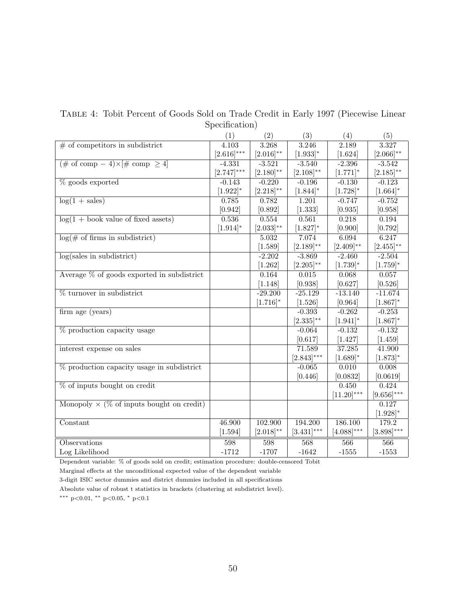|                                                          | (1)             | (2)            | (3)            | (4)             | (5)                      |
|----------------------------------------------------------|-----------------|----------------|----------------|-----------------|--------------------------|
| $#$ of competitors in subdistrict                        | 4.103           | 3.268          | 3.246          | 2.189           | 3.327                    |
|                                                          | $[2.616]^{***}$ | $[2.016]^{**}$ | $[1.933]$ *    | [1.624]         | $[2.066]^{**}$           |
| $(\text{# of comp } - 4) \times [\text{# comp } \geq 4]$ | $-4.331$        | $-3.521$       | $-3.540$       | $-2.396$        | $-3.542$                 |
|                                                          | $[2.747]^{***}$ | $[2.180]^{**}$ | $[2.108]^{**}$ | $[1.771]^{*}$   | $[2.185]^{**}$           |
| $%$ goods exported                                       | $-0.143$        | $-0.220$       | $-0.196$       | $-0.130$        | $-0.123$                 |
|                                                          | $[1.922]^{*}$   | $[2.218]^{**}$ | $[1.844]$ *    | $[1.728]^{*}$   | $[1.664]$ *              |
| $log(1 + sales)$                                         | 0.785           | 0.782          | 1.201          | $-0.747$        | $-0.752$                 |
|                                                          | [0.942]         | [0.892]        | [1.333]        | [0.935]         | [0.958]                  |
| $log(1 + book$ value of fixed assets)                    | 0.536           | 0.554          | 0.561          | 0.218           | 0.194                    |
|                                                          | $[1.914]$ *     | $[2.033]^{**}$ | $[1.827]$ *    | [0.900]         | [0.792]                  |
| $log(\text{\# of firms in subdistinct})$                 |                 | 5.032          | 7.074          | 6.094           | 6.247                    |
|                                                          |                 | [1.589]        | $[2.189]^{**}$ | $[2.409]^{**}$  | $[2.455]^{**}$           |
| log(sales in subdistinct)                                |                 | $-2.202$       | $-3.869$       | $-2.460$        | $-2.504$                 |
|                                                          |                 | [1.262]        | $[2.205]^{**}$ | $[1.739]^{*}$   | $[1.759]^{*}$            |
| Average $\%$ of goods exported in subdistrict            |                 | 0.164          | 0.015          | 0.068           | 0.057                    |
|                                                          |                 | [1.148]        | [0.938]        | [0.627]         | [0.526]                  |
| $%$ turnover in subdistrict                              |                 | $-29.200$      | $-25.129$      | $-13.140$       | $-11.674$                |
|                                                          |                 | $[1.716]$ *    | [1.526]        | [0.964]         | $[1.867]$ *              |
| firm age (years)                                         |                 |                | $-0.393$       | $-0.262$        | $-0.253$                 |
|                                                          |                 |                | $[2.335]^{**}$ | $[1.941]$ *     | $[1.867]$ *              |
| $%$ production capacity usage                            |                 |                | $-0.064$       | $-0.132$        | $-0.132$                 |
|                                                          |                 |                | [0.617]        | [1.427]         | [1.459]                  |
| interest expense on sales                                |                 |                | 71.589         | 37.285          | 41.900                   |
|                                                          |                 |                | $[2.843]$ ***  | $[1.689]$ *     | $[1.873]^{*}$            |
| % production capacity usage in subdistrict               |                 |                | $-0.065$       | 0.010           | $0.008\,$                |
|                                                          |                 |                | [0.446]        | [0.0832]        | [0.0619]                 |
| $%$ of inputs bought on credit                           |                 |                |                | 0.450           | 0.424                    |
|                                                          |                 |                |                | $[11.20]$ ***   | $[9.656]$ ***            |
| Monopoly $\times$ (% of inputs bought on credit)         |                 |                |                |                 | 0.127                    |
|                                                          |                 |                |                |                 | $[1.928]^{*}$            |
| $\overline{\text{Constant}}$                             | 46.900          | 102.900        | 194.200        | 186.100         | 179.2                    |
|                                                          | [1.594]         | $[2.018]^{**}$ | $[3.431]$ ***  | $[4.088]^{***}$ | $[3.898]^{\ast\ast\ast}$ |
| Observations                                             | 598             | 598            | 568            | 566             | 566                      |
| Log Likelihood                                           | $-1712$         | $-1707$        | $-1642$        | $-1555$         | $-1553$                  |
|                                                          |                 |                |                |                 |                          |

<span id="page-49-0"></span>Table 4: Tobit Percent of Goods Sold on Trade Credit in Early 1997 (Piecewise Linear Specification)

Dependent variable: % of goods sold on credit; estimation procedure: double-censored Tobit

Marginal effects at the unconditional expected value of the dependent variable

3-digit ISIC sector dummies and district dummies included in all specifications

Absolute value of robust t statistics in brackets (clustering at subdistrict level).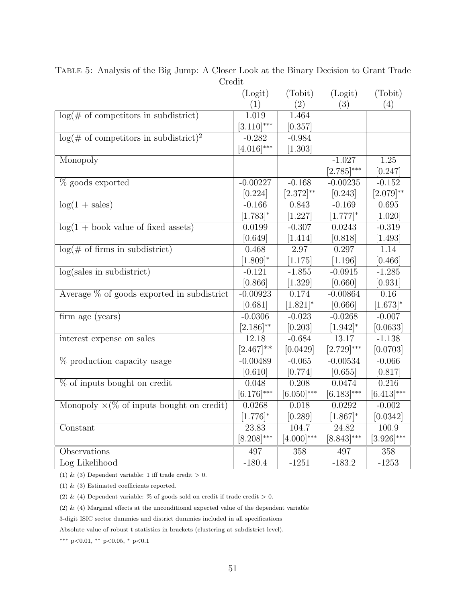|                                                                  | (Logit)         | (Tobit)         | (Logit)         | (Tobit)         |
|------------------------------------------------------------------|-----------------|-----------------|-----------------|-----------------|
|                                                                  | (1)             | (2)             | (3)             | (4)             |
| $log(\text{\# of competitors in subdistinct})$                   | 1.019           | 1.464           |                 |                 |
|                                                                  | $[3.110]^{***}$ | [0.357]         |                 |                 |
| $\log(\overline{\#}$ of competitors in subdistrict) <sup>2</sup> | $-0.282$        | $-0.984$        |                 |                 |
|                                                                  | $[4.016]^{***}$ | [1.303]         |                 |                 |
| Monopoly                                                         |                 |                 | $-1.027$        | 1.25            |
|                                                                  |                 |                 | $[2.785]^{***}$ | [0.247]         |
| $%$ goods exported                                               | $-0.00227$      | $-0.168$        | $-0.00235$      | $-0.152$        |
|                                                                  | [0.224]         | $[2.372]^{**}$  | [0.243]         | $[2.079]^{**}$  |
| $log(1 + sales)$                                                 | $-0.166$        | 0.843           | $-0.169$        | 0.695           |
|                                                                  | $[1.783]^{*}$   | [1.227]         | $[1.777]^{*}$   | [1.020]         |
| $log(1 + book$ value of fixed assets)                            | 0.0199          | $-0.307$        | 0.0243          | $-0.319$        |
|                                                                  | [0.649]         | [1.414]         | [0.818]         | [1.493]         |
| $log(\text{# of firms in subdistinct})$                          | 0.468           | 2.97            | 0.297           | 1.14            |
|                                                                  | $[1.809]^{*}$   | [1.175]         | [1.196]         | [0.466]         |
| log(sales in subdistinct)                                        | $-0.121$        | $-1.855$        | $-0.0915$       | $-1.285$        |
|                                                                  | [0.866]         | [1.329]         | [0.660]         | [0.931]         |
| Average $\%$ of goods exported in subdistrict                    | $-0.00923$      | 0.174           | $-0.00864$      | 0.16            |
|                                                                  | [0.681]         | $[1.821]^{*}$   | [0.666]         | $[1.673]^{*}$   |
| firm age (years)                                                 | $-0.0306$       | $-0.023$        | $-0.0268$       | $-0.007$        |
|                                                                  | $[2.186]^{**}$  | [0.203]         | $[1.942]$ *     | [0.0633]        |
| interest expense on sales                                        | 12.18           | $-0.684$        | 13.17           | $-1.138$        |
|                                                                  | $[2.467]^{**}$  | [0.0429]        | $[2.729]^{***}$ | [0.0703]        |
| $%$ production capacity usage                                    | $-0.00489$      | $-0.065$        | $-0.00534$      | $-0.066$        |
|                                                                  | [0.610]         | [0.774]         | [0.655]         | [0.817]         |
| $\%$ of inputs bought on credit                                  | 0.048           | 0.208           | 0.0474          | 0.216           |
|                                                                  | $[6.176]^{***}$ | $[6.050]^{***}$ | $[6.183]^{***}$ | $[6.413]^{***}$ |
| Monopoly $\times$ (% of inputs bought on credit)                 | 0.0268          | 0.018           | 0.0292          | $-0.002$        |
|                                                                  | $[1.776]^{*}$   | [0.289]         | $[1.867]$ *     | [0.0342]        |
| $\overline{\text{Constant}}$                                     | 23.83           | 104.7           | 24.82           | 100.9           |
|                                                                  | $[8.208]^{***}$ | $[4.000]^{***}$ | $[8.843]^{***}$ | $[3.926]^{***}$ |
| Observations                                                     | 497             | 358             | 497             | 358             |
| Log Likelihood                                                   | $-180.4$        | $-1251$         | $-183.2$        | $-1253$         |

<span id="page-50-0"></span>Table 5: Analysis of the Big Jump: A Closer Look at the Binary Decision to Grant Trade Credit

(1) & (3) Dependent variable: 1 iff trade credit  $> 0$ .

(1) & (3) Estimated coefficients reported.

(2) & (4) Dependent variable: % of goods sold on credit if trade credit  $> 0$ .

(2) & (4) Marginal effects at the unconditional expected value of the dependent variable

3-digit ISIC sector dummies and district dummies included in all specifications

Absolute value of robust t statistics in brackets (clustering at subdistrict level).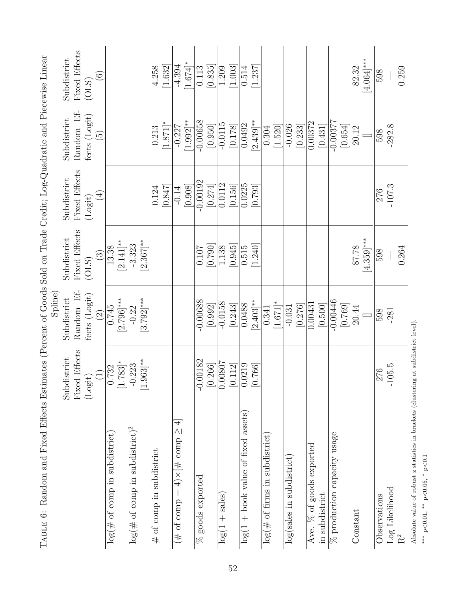<span id="page-51-0"></span>

| TABLE 6: Random and Fixed Effects Estimates (Percent of Goods Sold on Trade Credit; Log-Quadratic and Piecewise Linear |                                   |                      |                             |                                                             |                        |                         |
|------------------------------------------------------------------------------------------------------------------------|-----------------------------------|----------------------|-----------------------------|-------------------------------------------------------------|------------------------|-------------------------|
|                                                                                                                        |                                   | Spline)              |                             |                                                             |                        |                         |
|                                                                                                                        | Subdistrict                       | Subdistrict          | Subdistrict                 | Subdistrict                                                 | Subdistrict            | Subdistrict             |
|                                                                                                                        | Fixed Effects                     | Random Ef-           | <b>Fixed Effects</b>        | Fixed Effects                                               | Random Ef-             | Fixed Effects           |
|                                                                                                                        | $(\mathrm{Logit})$                | fects $(Logit)$      | $\left( \text{OLS} \right)$ |                                                             | fects $(Logit)$<br>(5) |                         |
|                                                                                                                        | $\begin{pmatrix} 1 \end{pmatrix}$ | $\widehat{2}$        | $\widehat{S}$               | $\begin{array}{c} \text{(Logit)} \\ \text{(4)} \end{array}$ |                        | $\frac{d^2(x)}{d^2(x)}$ |
| $log(\textit{\# of comp in subdistinct})$                                                                              | 0.732                             | 0.745                | 13.38                       |                                                             |                        |                         |
|                                                                                                                        | $[1.783]$ *                       | $[2.796]***$         | $[2.141]^{**}$              |                                                             |                        |                         |
| of comp in subdistrict) $^{2}$<br>$log($ #                                                                             | $-0.223$                          | $-0.22$              | $-3.323$                    |                                                             |                        |                         |
|                                                                                                                        | $1.963$ <sup>**</sup>             | $[3.792]***$         | $[2.367]^{**}$              |                                                             |                        |                         |
| subdistrict<br>of comp in<br>#                                                                                         |                                   |                      |                             | 0.124                                                       | 0.213                  | 4.258                   |
|                                                                                                                        |                                   |                      |                             | [0.847]                                                     | $[1.871]$ *            | [1.632]                 |
| $\overline{4}$<br>$\frac{4}{5} \times \neq \text{comp} \geq$<br>(# of comp                                             |                                   |                      |                             | $-0.14$                                                     | $-0.227$               | $-4.39\overline{4}$     |
|                                                                                                                        |                                   |                      |                             | [0.908]                                                     | $1.992$ **             | $[1.674]$ *             |
| $\%$ goods exported                                                                                                    | 0.00182<br>ℸ                      | $-0.00688$           | $0.10\overline{7}$          | $-0.00192$                                                  | $-0.00658$             | $0.1\overline{13}$      |
|                                                                                                                        | [0.266]                           | [0.992]              | [0.790]                     | [0.274]                                                     | [0.950]                | $\left[ 0.835\right]$   |
| $+$ sales<br>log(1)                                                                                                    | 1,0800.0                          | $-0.0158$            | 1.138                       | 0.0112                                                      | $-0.0115$              | 1.209                   |
|                                                                                                                        | [0.112]                           | [0.243]              | [0.945]                     | [0.156]                                                     | [81178]                | [1.003]                 |
| + book value of fixed assets)<br>log(1)                                                                                | $\frac{0.0219}{0.0219}$           | 0.0488               | 0.515                       | 0.0225                                                      | 0.0492                 | 0.514                   |
|                                                                                                                        | [0.766]                           | $[2.403]^{**}$       | [1.240]                     | [0.793]                                                     | $[2.439]^{**}$         | [1.237]                 |
| subdistrict<br>$\log(\textit{\# of firms in})$                                                                         |                                   | 0.341                |                             |                                                             | 0.304                  |                         |
|                                                                                                                        |                                   | $1.671$ <sup>*</sup> |                             |                                                             | [1.520]                |                         |
| log(sales in subdistrict)                                                                                              |                                   | [0.276]<br>$-0.031$  |                             |                                                             | [0.233]<br>$-0.026$    |                         |
| Ave. $%$ of goods exported                                                                                             |                                   | 0.00431              |                             |                                                             | 0.00372                |                         |
| in subdistrict                                                                                                         |                                   | [0.500]              |                             |                                                             | [0.431]                |                         |
| $%$ production capacity usage                                                                                          |                                   | $-0.00446$           |                             |                                                             | $-0.00377$             |                         |
|                                                                                                                        |                                   | [0.769]              |                             |                                                             | [0.654]                |                         |
| Constant                                                                                                               |                                   | 20.44                | 87.78                       |                                                             | 20.12                  | 82.32                   |
|                                                                                                                        |                                   |                      | $[4.359]***$                |                                                             |                        | $[4.064]^{***}$         |
| Observations                                                                                                           | 276                               | 598                  | 598                         | 276                                                         | 598                    | 598                     |
| Log Likelihood                                                                                                         | $-105.5$                          | $-281$               |                             | $-107.3$                                                    | $-282.8$               |                         |
| R <sup>2</sup>                                                                                                         |                                   |                      | 0.264                       |                                                             |                        | 0.259                   |
| Absolute value of robust z statistics in brackets (clustering at subdistrict level).                                   |                                   |                      |                             |                                                             |                        |                         |

Absolute value of robust z statistics in brackets (clustering at subdistrict level). <br>\*\*\* p<0.01, \*\* p<0.05, \* p<0.1 ∗∗∗ p<0.01, ∗∗ p<0.05, ∗ p<0.1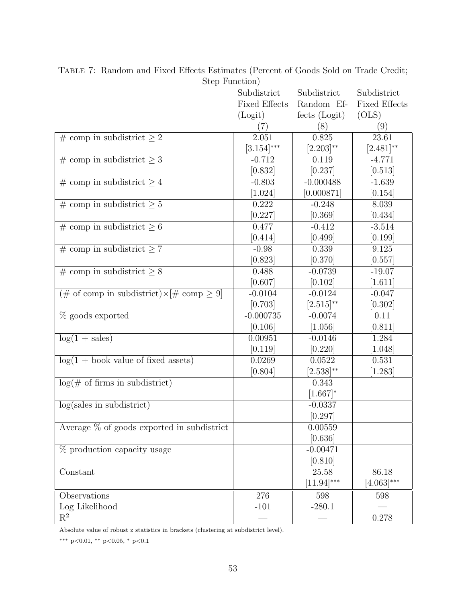|                                                        | Subdistrict          | Subdistrict          | Subdistrict          |
|--------------------------------------------------------|----------------------|----------------------|----------------------|
|                                                        | <b>Fixed Effects</b> | Random Ef-           | <b>Fixed Effects</b> |
|                                                        | (Logit)              | fects (Logit)        | (OLS)                |
|                                                        | $\left( 7\right)$    | (8)                  | (9)                  |
| # comp in subdistrict $\geq 2$                         | 2.051                | 0.825                | 23.61                |
|                                                        | $[3.154]^{***}$      | $[2.203]^{**}$       | $[2.481]^{**}$       |
| # comp in subdistrict $\geq 3$                         | $-0.712$             | 0.119                | $-4.771$             |
|                                                        | [0.832]              | [0.237]              | [0.513]              |
| # comp in subdistrict $\geq 4$                         | $-0.803$             | $-0.000488$          | $-1.639$             |
|                                                        | [1.024]              | [0.000871]           | [0.154]              |
| # comp in subdistrict $\geq 5$                         | 0.222                | $-0.248$             | 8.039                |
|                                                        | [0.227]              | [0.369]              | [0.434]              |
| # comp in subdistrict $\geq 6$                         | 0.477                | $-0.412$             | $-3.514$             |
|                                                        | [0.414]              | [0.499]              | [0.199]              |
| # comp in subdistrict $\geq 7$                         | $-0.98$              | 0.339                | 9.125                |
|                                                        | [0.823]              | [0.370]              | [0.557]              |
| # comp in subdistrict $\geq 8$                         | 0.488                | $-0.0739$            | $-19.07$             |
|                                                        | [0.607]              | [0.102]              | [1.611]              |
| (# of comp in subdistrict) $\times$ [# comp $\geq 9$ ] | $-0.0104$            | $-0.01\overline{24}$ | $-0.047$             |
|                                                        | [0.703]              | $[2.515]^{**}$       | $[0.302]$            |
| % goods exported                                       | $-0.000735$          | $-0.0074$            | 0.11                 |
|                                                        | [0.106]              | $[1.056]$            | [0.811]              |
| $\log(1 + \text{sales})$                               | 0.00951              | $-0.0146$            | 1.284                |
|                                                        | [0.119]              | [0.220]              | $[1.048]$            |
| $log(1 + book$ value of fixed assets)                  | 0.0269               | 0.0522               | 0.531                |
|                                                        | [0.804]              | $[2.538]^{**}$       | [1.283]              |
| $log(\text{# of firms in subdistinct})$                |                      | 0.343                |                      |
|                                                        |                      | $[1.667]$ *          |                      |
| log(sales in subdistinct)                              |                      | $-0.0337$            |                      |
|                                                        |                      | [0.297]              |                      |
| Average $%$ of goods exported in subdistrict           |                      | 0.00559              |                      |
|                                                        |                      | [0.636]              |                      |
| % production capacity usage                            |                      | $-0.00471$           |                      |
|                                                        |                      | [0.810]              |                      |
| Constant                                               |                      | $25.58\,$            | 86.18                |
|                                                        |                      | $[11.94]^{***}$      | $[4.063]^{***}$      |
| Observations                                           | 276                  | 598                  | 598                  |
| Log Likelihood                                         | $-101$               | $-280.1$             |                      |
| $\mathbf{R}^2$                                         |                      |                      | 0.278                |

<span id="page-52-0"></span>Table 7: Random and Fixed Effects Estimates (Percent of Goods Sold on Trade Credit; Step Function)

Absolute value of robust z statistics in brackets (clustering at subdistrict level).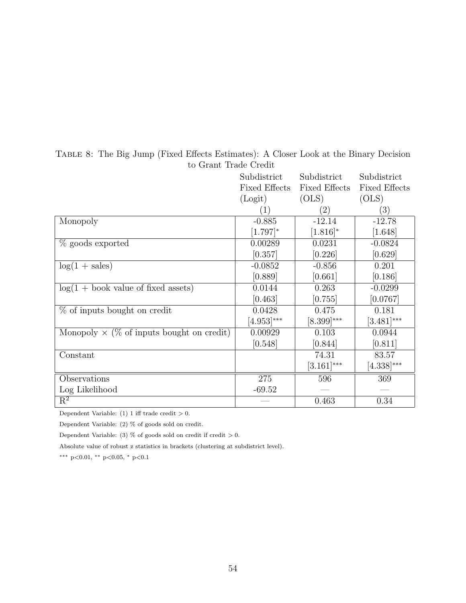|                                                  | Subdistrict          | Subdistrict     | Subdistrict          |
|--------------------------------------------------|----------------------|-----------------|----------------------|
|                                                  | <b>Fixed Effects</b> | Fixed Effects   | <b>Fixed Effects</b> |
|                                                  | (Logit)              | (OLS)           | (OLS)                |
|                                                  | (1)                  | (2)             | (3)                  |
| Monopoly                                         | $-0.885$             | $-12.14$        | $-12.78$             |
|                                                  | $[1.797]^{*}$        | $[1.816]^{*}$   | [1.648]              |
| $\%$ goods exported                              | 0.00289              | 0.0231          | $-0.0824$            |
|                                                  | [0.357]              | [0.226]         | [0.629]              |
| $log(1 + sales)$                                 | $-0.0852$            | $-0.856$        | 0.201                |
|                                                  | [0.889]              | [0.661]         | [0.186]              |
| $log(1 + book$ value of fixed assets)            | 0.0144               | 0.263           | $-0.0299$            |
|                                                  | [0.463]              | [0.755]         | [0.0767]             |
| % of inputs bought on credit                     | 0.0428               | 0.475           | 0.181                |
|                                                  | $[4.953]^{***}$      | $[8.399]^{***}$ | $[3.481]^{***}$      |
| Monopoly $\times$ (% of inputs bought on credit) | 0.00929              | 0.103           | 0.0944               |
|                                                  | [0.548]              | [0.844]         | [0.811]              |
| Constant                                         |                      | 74.31           | 83.57                |
|                                                  |                      | $[3.161]^{***}$ | $[4.338]^{***}$      |
| Observations                                     | 275                  | 596             | 369                  |
| Log Likelihood                                   | $-69.52$             |                 |                      |
| $\mathbf{R}^2$                                   |                      | 0.463           | 0.34                 |

<span id="page-53-0"></span>Table 8: The Big Jump (Fixed Effects Estimates): A Closer Look at the Binary Decision to Grant Trade Credit

Dependent Variable: (1) 1 iff trade credit  $> 0$ .

Dependent Variable: (2) % of goods sold on credit.

Dependent Variable: (3) % of goods sold on credit if credit  $> 0$ .

Absolute value of robust z statistics in brackets (clustering at subdistrict level).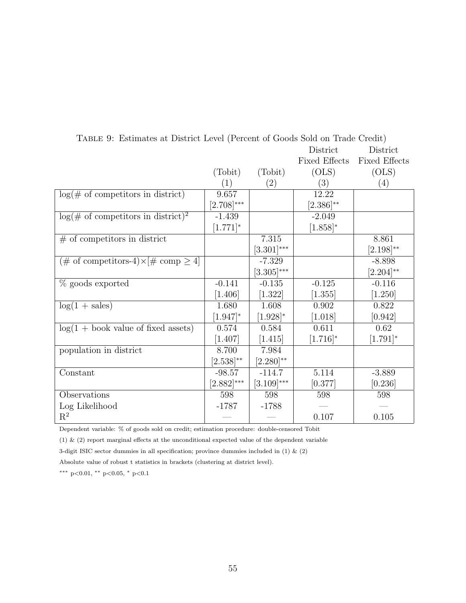|                                                  |                 |                 | District       | District             |
|--------------------------------------------------|-----------------|-----------------|----------------|----------------------|
|                                                  |                 |                 | Fixed Effects  | <b>Fixed Effects</b> |
|                                                  | (Tobit)         | (Tobit)         | (OLS)          | (OLS)                |
|                                                  | (1)             | (2)             | (3)            | (4)                  |
| $log(\text{\# of competitors in district})$      | 9.657           |                 | 12.22          |                      |
|                                                  | $[2.708]^{***}$ |                 | $[2.386]^{**}$ |                      |
| $\log(\text{\# of competitors in district})^2$   | $-1.439$        |                 | $-2.049$       |                      |
|                                                  | $[1.771]^{*}$   |                 | $[1.858]^{*}$  |                      |
| $#$ of competitors in district                   |                 | 7.315           |                | 8.861                |
|                                                  |                 | $[3.301]$ ***   |                | $[2.198]^{**}$       |
| (# of competitors-4) $\times$ [# comp $\geq 4$ ] |                 | $-7.329$        |                | $-8.898$             |
|                                                  |                 | $[3.305]$ ***   |                | $[2.204]^{**}$       |
| % goods exported                                 | $-0.141$        | $-0.135$        | $-0.125$       | $-0.116$             |
|                                                  | [1.406]         | [1.322]         | [1.355]        | [1.250]              |
| $log(1 + sales)$                                 | 1.680           | 1.608           | 0.902          | 0.822                |
|                                                  | $[1.947]^{*}$   | $[1.928]^{*}$   | [1.018]        | [0.942]              |
| $log(1 + book$ value of fixed assets)            | 0.574           | 0.584           | 0.611          | 0.62                 |
|                                                  | [1.407]         | [1.415]         | $[1.716]^{*}$  | $[1.791]^{*}$        |
| population in district                           | 8.700           | 7.984           |                |                      |
|                                                  | $[2.538]^{**}$  | $[2.280]^{**}$  |                |                      |
| Constant                                         | $-98.57$        | $-114.7$        | 5.114          | $-3.889$             |
|                                                  | $[2.882]^{***}$ | $[3.109]^{***}$ | [0.377]        | [0.236]              |
| Observations                                     | 598             | 598             | 598            | 598                  |
| Log Likelihood                                   | $-1787$         | $-1788$         |                |                      |
| $\mathbf{R}^2$                                   |                 |                 | 0.107          | 0.105                |

<span id="page-54-0"></span>Table 9: Estimates at District Level (Percent of Goods Sold on Trade Credit)

Dependent variable: % of goods sold on credit; estimation procedure: double-censored Tobit

(1) & (2) report marginal effects at the unconditional expected value of the dependent variable

3-digit ISIC sector dummies in all specification; province dummies included in (1) & (2)

Absolute value of robust t statistics in brackets (clustering at district level).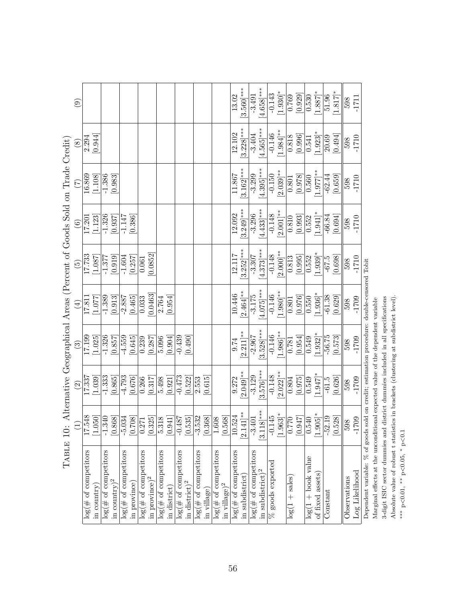| LABLE IU:                                                        |                                                                                                                                                                                                                                                                                                                                                                                                 | Alternational Coole Ceoperation is the series of the coole of the Credit Alternation of the Credit A |                        |                        |                        |                       |                        |               |                        |
|------------------------------------------------------------------|-------------------------------------------------------------------------------------------------------------------------------------------------------------------------------------------------------------------------------------------------------------------------------------------------------------------------------------------------------------------------------------------------|------------------------------------------------------------------------------------------------------|------------------------|------------------------|------------------------|-----------------------|------------------------|---------------|------------------------|
|                                                                  | $\begin{pmatrix} 1 \\ 2 \end{pmatrix}$                                                                                                                                                                                                                                                                                                                                                          | $\odot$                                                                                              | $\odot$                | $\bigoplus$            | $\widetilde{E}$        | $\odot$               | $\widetilde{\Xi}$      | $\circledS$   | $\odot$                |
| $\log(\text{\# of competitive})$                                 |                                                                                                                                                                                                                                                                                                                                                                                                 | 17.337                                                                                               | 17.199                 | 17.811                 | 17.733                 | 17.201                | 16.869                 | 2.294         |                        |
| in country                                                       | [1.050]<br>8Fg.71                                                                                                                                                                                                                                                                                                                                                                               | [1.039]                                                                                              | [1.025]                | [1.077]                | [1.087]                | [1.123]               | [1.108]                | [0.944]       |                        |
| $log(\textit{\# of competition})$                                | $-1.340$                                                                                                                                                                                                                                                                                                                                                                                        | $-1.333$                                                                                             | $-1.326$               | $-1.389$               | $-1.377$               | $-1.326$              | $-1.386$               |               |                        |
| in country) <sup>2</sup>                                         | $\left[ 0.868\right]$                                                                                                                                                                                                                                                                                                                                                                           | [0.865]                                                                                              | [0.857]                | [0.913]                | [0.919]                | [0.937]               | [0.983]                |               |                        |
| $log(\text{\# of competitive})$                                  |                                                                                                                                                                                                                                                                                                                                                                                                 | $-4.793$                                                                                             | $-4.559$               | $-2.887$               | $-1.604$               | $-1.147$              |                        |               |                        |
| in province)                                                     |                                                                                                                                                                                                                                                                                                                                                                                                 | [0.676]                                                                                              | [0.645]                | [0.465]                | [0.257]                | [0.386]               |                        |               |                        |
|                                                                  |                                                                                                                                                                                                                                                                                                                                                                                                 | 0.266                                                                                                | 0.239                  | 0.033                  | 0.061                  |                       |                        |               |                        |
| $\frac{\log (\# \text{ of competitors}}{\text{in province}})^2$  | $\begin{array}{l} \text{-}5.034 \\ \text{-}7.038 \\ \text{-}0.271 \\ \text{-}0.318 \\ \text{-}0.318 \\ \text{-}0.318 \\ \text{-}0.318 \\ \text{-}0.487 \\ \text{-}0.539 \\ \text{-}0.308 \\ \text{-}0.539 \\ \text{-}0.308 \\ \text{-}0.508 \\ \text{-}0.508 \\ \text{-}0.508 \\ \text{-}0.508 \\ \text{-}0.508 \\ \text{-}0.508 \\ \text{-}0.508 \\ \text{-}0.508 \\ \text{-}0.508 \\ \text{-$ | [0.317]                                                                                              | [0.287]                | [0.0463]               | 0.0852                 |                       |                        |               |                        |
| $\log(\text{\# of competitive})$                                 |                                                                                                                                                                                                                                                                                                                                                                                                 | 5.498                                                                                                | 5.096                  | 2.764                  |                        |                       |                        |               |                        |
| in district)                                                     |                                                                                                                                                                                                                                                                                                                                                                                                 | [0.921]                                                                                              | [0.904]                | [0.954]                |                        |                       |                        |               |                        |
| $log(\textit{\# of competition})$                                |                                                                                                                                                                                                                                                                                                                                                                                                 | $-0.473$                                                                                             | $-0.439$               |                        |                        |                       |                        |               |                        |
| in district) <sup>2</sup>                                        |                                                                                                                                                                                                                                                                                                                                                                                                 | [0.522]                                                                                              | [0.490]                |                        |                        |                       |                        |               |                        |
| $log(\textit{\# of completion})$                                 |                                                                                                                                                                                                                                                                                                                                                                                                 | 2.553                                                                                                |                        |                        |                        |                       |                        |               |                        |
| in village)                                                      |                                                                                                                                                                                                                                                                                                                                                                                                 | [0.615]                                                                                              |                        |                        |                        |                       |                        |               |                        |
|                                                                  |                                                                                                                                                                                                                                                                                                                                                                                                 |                                                                                                      |                        |                        |                        |                       |                        |               |                        |
| $\frac{\log (\# \text{ of competitors}}{\ln \text{ village})^2}$ |                                                                                                                                                                                                                                                                                                                                                                                                 |                                                                                                      |                        |                        |                        |                       |                        |               |                        |
| $\log(\text{\# of completion})$                                  | $10.\overline{524}$                                                                                                                                                                                                                                                                                                                                                                             | 9.272                                                                                                | 9.74                   | 10.446                 | 12.117                 | 12.092                | 11.867                 | 12.102        | 13.02                  |
| in subdistrict)                                                  | $[2.141]$ **                                                                                                                                                                                                                                                                                                                                                                                    | $[2.049]$ **                                                                                         | $[2.211]^{**}$         | $2.464$ **             | $[3.252]***$           | $[3.249]***$          | $3.162$ <sup>***</sup> | $[3.228]***$  | $3.560$ <sup>***</sup> |
| $\log(\text{\# of competitive})$                                 | $-3.40$                                                                                                                                                                                                                                                                                                                                                                                         | $-3.129$                                                                                             | $-2.967$               | $-3.175$               | $-3.307$               | $-3.296$              | $-3.299$               | $-3.404$      | $-3.491$               |
| in subdistrict) <sup>2</sup>                                     | $3.118$ <sup>***</sup>                                                                                                                                                                                                                                                                                                                                                                          | $3.576$ <sup>***</sup>                                                                               | $3.528$ <sup>***</sup> | $4.075$ <sup>***</sup> | $4.373$ <sup>***</sup> | $[4.433]$ ***         | $(4.395]$ ***          | $[4.565]$ *** | $4.658$ <sup>***</sup> |
| goods exported<br>$\approx$                                      |                                                                                                                                                                                                                                                                                                                                                                                                 | $-0.148$                                                                                             | $-0.146$               | $-0.146$               | $-0.148$               | $-0.148$              | $-0.150$               | $-0.146$      | $-0.143$               |
|                                                                  | $\begin{array}{c} \left[ 1766 \right] \\ \left[ 60 \right] \\ \left[ 100 \right] \\ \left[ 100 \right] \\ \left[ 100 \right] \\ \left[ 100 \right] \end{array}$                                                                                                                                                                                                                                 | $[2.022]^{**}$                                                                                       | $1.986$ <sup>**</sup>  | $1.980$ <sup>**</sup>  | $[2.000]^{**}$         | $2.001$ <sup>**</sup> | $[2.039]$ **           | $[1.984]$ **  | $1.930$ <sup>*</sup>   |
| sales)<br>$+$<br>$\log(1)$                                       |                                                                                                                                                                                                                                                                                                                                                                                                 | 0.804                                                                                                | 0.781                  | 0.801                  | $0.813\,$              | 0.810                 | 0.801                  | 0.818         | 0.769                  |
|                                                                  |                                                                                                                                                                                                                                                                                                                                                                                                 | [0.975]                                                                                              | [0.954]                | [0.976]                | [0.995]                | [0.993]               | [0.978]                | [0.996]       | [0.929]                |
| $log(1 +$ book value                                             | $\overline{[1.905]}^{*}$                                                                                                                                                                                                                                                                                                                                                                        | 0.549                                                                                                | 0.549                  | 0.550                  | 0.552                  | 0.552                 | 0.560                  | 0.541         | 0.530                  |
| of fixed assets                                                  |                                                                                                                                                                                                                                                                                                                                                                                                 | $[1.947]$ *                                                                                          | $1.932$ <sup>*</sup>   | $[1.936]$ *            | $[1.939]$ *            | $[1.941]$ *           | $1.977$ **             | $[1.923]$ *   | 1.887*                 |
| Constant                                                         | $-52.19$                                                                                                                                                                                                                                                                                                                                                                                        | $-61.5$                                                                                              | $-56.75$               | $-61.\overline{38}$    | $-67.5$                | $-66.84$              | $-62.44$               | 20.69         | $\overline{51.96}$     |
|                                                                  | [0.528]                                                                                                                                                                                                                                                                                                                                                                                         | [0.626]                                                                                              | [0.573]                | [0.629]                | [0.698]                | [0.694]               | [0.659]                | [0.494]       | $1.817$ <sup>*</sup>   |
| Observations                                                     | 598                                                                                                                                                                                                                                                                                                                                                                                             | 598                                                                                                  | 598                    | 598                    | 598                    | 598                   | 598                    | 598           | 598                    |
| Log Likelihood                                                   | $-1709$                                                                                                                                                                                                                                                                                                                                                                                         | $-1709$                                                                                              | $-1709$                | $-1709$                | $-1710$                | $-1710$               | -1710                  | $-1710$       | -171                   |
| Dependent variable: % of goods so                                |                                                                                                                                                                                                                                                                                                                                                                                                 | Id on credit; estimation procedure: double-censored Tobit                                            |                        |                        |                        |                       |                        |               |                        |

<span id="page-55-0"></span> $\overrightarrow{d}$ it) Table 10: Alternative Geographical Areas (Percent of Goods Sold on Trade Credit)  $\epsilon$  $\frac{1}{2}$  $\vec{F}$  $C_{\sim}$  $\frac{1}{2}$  $\overline{C}$  $+$  $\overline{P}$  $\frac{1}{2}$ J  $\ddot{+}$  $T_A$  BI F 10.  $\Delta$  H

3-digit ISIC sector dummies and district dummies included in all specifications Marginal effects at the unconditional expected value of the dependent variable 3-digit ISIC sector dummies and district dummies included in all specifications Marginal effects at the unconditional expected value of the dependent variable

Absolute value of robust t statistics in brackets (clustering at subdistrict level). \*\*\*  $p{<}0.01,$  \*\*  $p{<}0.05,$  \*  $p{<}0.1$ Absolute value of robust t statistics in brackets (clustering at subdistrict level). ∗∗∗ p<0.01, ∗∗ p<0.05, ∗ p<0.1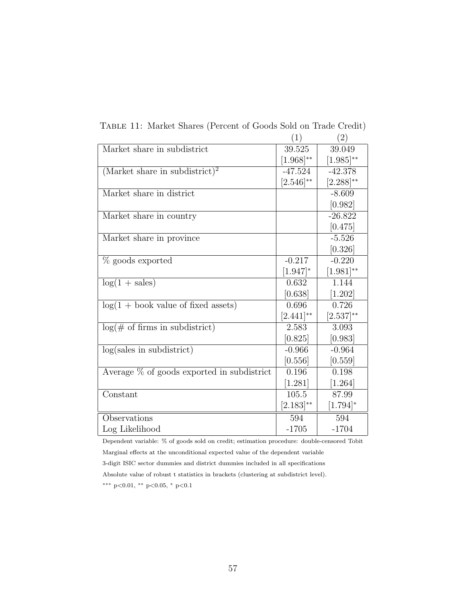|                                               | $\left( 1\right)$ | $\left( 2\right)$ |
|-----------------------------------------------|-------------------|-------------------|
| Market share in subdistrict                   | 39.525            | 39.049            |
|                                               | $[1.968]^{**}$    | $[1.985]^{**}$    |
| (Market share in subdistrict) <sup>2</sup>    | $-47.524$         | $-42.378$         |
|                                               | $[2.546]^{**}$    | $[2.288]^{**}$    |
| Market share in district                      |                   | $-8.609$          |
|                                               |                   | [0.982]           |
| Market share in country                       |                   | $-26.822$         |
|                                               |                   | [0.475]           |
| Market share in province                      |                   | $-5.526$          |
|                                               |                   | [0.326]           |
| $%$ goods exported                            | $-0.217$          | $-0.220$          |
|                                               | $[1.947]^{*}$     | $[1.981]^{**}$    |
| $log(1 + sales)$                              | 0.632             | 1.144             |
|                                               | [0.638]           | $[1.202]$         |
| $log(1 + book$ value of fixed assets)         | 0.696             | 0.726             |
|                                               | $[2.441]^{**}$    | $[2.537]^{**}$    |
| $log(\text{\# of firms in subdistinct})$      | 2.583             | 3.093             |
|                                               | [0.825]           | [0.983]           |
| log(sales in subdistinct)                     | $-0.966$          | $-0.964$          |
|                                               | [0.556]           | [0.559]           |
| Average $\%$ of goods exported in subdistrict | 0.196             | 0.198             |
|                                               | [1.281]           | [1.264]           |
| Constant                                      | 105.5             | 87.99             |
|                                               | $[2.183]^{**}$    | $[1.794]^{*}$     |
| Observations                                  | 594               | 594               |
| Log Likelihood                                | $-1705$           | $-1704$           |

<span id="page-56-0"></span>Table 11: Market Shares (Percent of Goods Sold on Trade Credit)

Dependent variable: % of goods sold on credit; estimation procedure: double-censored Tobit Marginal effects at the unconditional expected value of the dependent variable 3-digit ISIC sector dummies and district dummies included in all specifications Absolute value of robust t statistics in brackets (clustering at subdistrict level). ∗∗∗ p<0.01, ∗∗ p<0.05, <sup>∗</sup> p<0.1